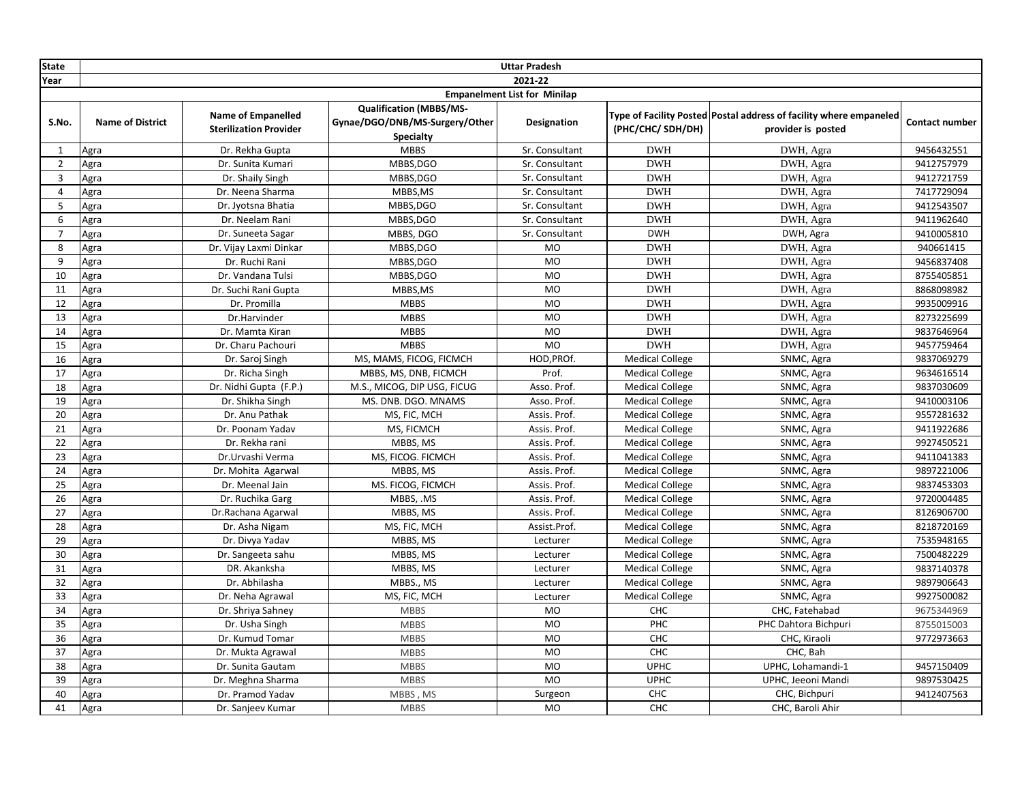| <b>State</b>   |                                     |                                                            |                                                                                      | <b>Uttar Pradesh</b>         |                                                  |                                                                                          |                          |  |  |
|----------------|-------------------------------------|------------------------------------------------------------|--------------------------------------------------------------------------------------|------------------------------|--------------------------------------------------|------------------------------------------------------------------------------------------|--------------------------|--|--|
| Year           |                                     |                                                            |                                                                                      | 2021-22                      |                                                  |                                                                                          |                          |  |  |
|                | <b>Empanelment List for Minilap</b> |                                                            |                                                                                      |                              |                                                  |                                                                                          |                          |  |  |
| S.No.          | <b>Name of District</b>             | <b>Name of Empanelled</b><br><b>Sterilization Provider</b> | <b>Qualification (MBBS/MS-</b><br>Gynae/DGO/DNB/MS-Surgery/Other<br><b>Specialty</b> | <b>Designation</b>           | (PHC/CHC/SDH/DH)                                 | Type of Facility Posted Postal address of facility where empaneled<br>provider is posted | <b>Contact number</b>    |  |  |
| $\mathbf{1}$   | Agra                                | Dr. Rekha Gupta                                            | <b>MBBS</b>                                                                          | Sr. Consultant               | <b>DWH</b>                                       | DWH, Agra                                                                                | 9456432551               |  |  |
| $\overline{2}$ | Agra                                | Dr. Sunita Kumari                                          | MBBS, DGO                                                                            | Sr. Consultant               | <b>DWH</b>                                       | DWH, Agra                                                                                | 9412757979               |  |  |
| 3              | Agra                                | Dr. Shaily Singh                                           | MBBS, DGO                                                                            | Sr. Consultant               | <b>DWH</b>                                       | DWH, Agra                                                                                | 9412721759               |  |  |
| $\overline{4}$ | Agra                                | Dr. Neena Sharma                                           | MBBS,MS                                                                              | Sr. Consultant               | <b>DWH</b>                                       | DWH, Agra                                                                                | 7417729094               |  |  |
| 5              | Agra                                | Dr. Jyotsna Bhatia                                         | MBBS, DGO                                                                            | Sr. Consultant               | <b>DWH</b>                                       | DWH, Agra                                                                                | 9412543507               |  |  |
| 6              | Agra                                | Dr. Neelam Rani                                            | MBBS, DGO                                                                            | Sr. Consultant               | <b>DWH</b>                                       | DWH, Agra                                                                                | 9411962640               |  |  |
| $\overline{7}$ | Agra                                | Dr. Suneeta Sagar                                          | MBBS, DGO                                                                            | Sr. Consultant               | <b>DWH</b>                                       | DWH, Agra                                                                                | 9410005810               |  |  |
| 8              | Agra                                | Dr. Vijay Laxmi Dinkar                                     | MBBS, DGO                                                                            | <b>MO</b>                    | <b>DWH</b>                                       | DWH, Agra                                                                                | 940661415                |  |  |
| 9              | Agra                                | Dr. Ruchi Rani                                             | MBBS, DGO                                                                            | <b>MO</b>                    | <b>DWH</b>                                       | DWH, Agra                                                                                | 9456837408               |  |  |
| 10             | Agra                                | Dr. Vandana Tulsi                                          | MBBS, DGO                                                                            | <b>MO</b>                    | <b>DWH</b>                                       | DWH, Agra                                                                                | 8755405851               |  |  |
| 11             | Agra                                | Dr. Suchi Rani Gupta                                       | MBBS, MS                                                                             | <b>MO</b>                    | <b>DWH</b>                                       | DWH, Agra                                                                                | 8868098982               |  |  |
| 12             | Agra                                | Dr. Promilla                                               | <b>MBBS</b>                                                                          | <b>MO</b>                    | <b>DWH</b>                                       | DWH, Agra                                                                                | 9935009916               |  |  |
| 13             | Agra                                | Dr.Harvinder                                               | <b>MBBS</b>                                                                          | <b>MO</b>                    | <b>DWH</b>                                       | DWH, Agra                                                                                | 8273225699               |  |  |
| 14             | Agra                                | Dr. Mamta Kiran                                            | <b>MBBS</b>                                                                          | MO                           | <b>DWH</b>                                       | DWH, Agra                                                                                | 9837646964               |  |  |
| 15             | Agra                                | Dr. Charu Pachouri                                         | <b>MBBS</b>                                                                          | <b>MO</b>                    | <b>DWH</b>                                       | DWH, Agra                                                                                | 9457759464               |  |  |
| 16             | Agra                                | Dr. Saroj Singh                                            | MS, MAMS, FICOG, FICMCH                                                              | HOD, PROf.                   | <b>Medical College</b>                           | SNMC, Agra                                                                               | 9837069279               |  |  |
| 17             | Agra                                | Dr. Richa Singh                                            | MBBS, MS, DNB, FICMCH                                                                | Prof.                        | <b>Medical College</b>                           | SNMC, Agra                                                                               | 9634616514               |  |  |
| 18             | Agra                                | Dr. Nidhi Gupta (F.P.)                                     | M.S., MICOG, DIP USG, FICUG                                                          | Asso. Prof.                  | <b>Medical College</b>                           | SNMC, Agra                                                                               | 9837030609               |  |  |
| 19             | Agra                                | Dr. Shikha Singh                                           | MS. DNB. DGO. MNAMS                                                                  | Asso. Prof.                  | <b>Medical College</b>                           | SNMC, Agra                                                                               | 9410003106               |  |  |
| 20             | Agra                                | Dr. Anu Pathak                                             | MS, FIC, MCH                                                                         | Assis. Prof.                 | <b>Medical College</b>                           | SNMC, Agra                                                                               | 9557281632               |  |  |
| 21             | Agra                                | Dr. Poonam Yadav                                           | MS, FICMCH                                                                           | Assis. Prof.                 | <b>Medical College</b>                           | SNMC, Agra                                                                               | 9411922686               |  |  |
| 22             | Agra                                | Dr. Rekha rani                                             | MBBS, MS                                                                             | Assis. Prof.                 | <b>Medical College</b>                           | SNMC, Agra                                                                               | 9927450521               |  |  |
| 23             | Agra                                | Dr.Urvashi Verma                                           | MS, FICOG. FICMCH                                                                    | Assis. Prof.                 | <b>Medical College</b>                           | SNMC, Agra                                                                               | 9411041383               |  |  |
| 24             | Agra                                | Dr. Mohita Agarwal                                         | MBBS, MS                                                                             | Assis. Prof.                 | <b>Medical College</b>                           | SNMC, Agra                                                                               | 9897221006               |  |  |
| 25<br>26       | Agra                                | Dr. Meenal Jain                                            | MS. FICOG, FICMCH                                                                    | Assis. Prof.<br>Assis. Prof. | <b>Medical College</b>                           | SNMC, Agra                                                                               | 9837453303<br>9720004485 |  |  |
| 27             | Agra                                | Dr. Ruchika Garg                                           | MBBS, .MS                                                                            |                              | <b>Medical College</b>                           | SNMC, Agra                                                                               |                          |  |  |
| 28             | Agra                                | Dr.Rachana Agarwal<br>Dr. Asha Nigam                       | MBBS, MS<br>MS, FIC, MCH                                                             | Assis. Prof.<br>Assist.Prof. | <b>Medical College</b>                           | SNMC, Agra                                                                               | 8126906700<br>8218720169 |  |  |
| 29             | Agra                                | Dr. Divya Yadav                                            | MBBS, MS                                                                             | Lecturer                     | <b>Medical College</b><br><b>Medical College</b> | SNMC, Agra<br>SNMC, Agra                                                                 | 7535948165               |  |  |
| 30             | Agra<br>Agra                        | Dr. Sangeeta sahu                                          | MBBS, MS                                                                             | Lecturer                     | <b>Medical College</b>                           | SNMC, Agra                                                                               | 7500482229               |  |  |
| 31             | Agra                                | DR. Akanksha                                               | MBBS, MS                                                                             | Lecturer                     | <b>Medical College</b>                           | SNMC, Agra                                                                               | 9837140378               |  |  |
| 32             | Agra                                | Dr. Abhilasha                                              | MBBS., MS                                                                            | Lecturer                     | <b>Medical College</b>                           | SNMC, Agra                                                                               | 9897906643               |  |  |
| 33             | Agra                                | Dr. Neha Agrawal                                           | MS, FIC, MCH                                                                         | Lecturer                     | <b>Medical College</b>                           | SNMC, Agra                                                                               | 9927500082               |  |  |
| 34             | Agra                                | Dr. Shriya Sahney                                          | <b>MBBS</b>                                                                          | <b>MO</b>                    | CHC                                              | CHC, Fatehabad                                                                           | 9675344969               |  |  |
| 35             | Agra                                | Dr. Usha Singh                                             | <b>MBBS</b>                                                                          | <b>MO</b>                    | PHC                                              | PHC Dahtora Bichpuri                                                                     | 8755015003               |  |  |
| 36             | Agra                                | Dr. Kumud Tomar                                            | <b>MBBS</b>                                                                          | <b>MO</b>                    | CHC                                              | CHC, Kiraoli                                                                             | 9772973663               |  |  |
| 37             | Agra                                | Dr. Mukta Agrawal                                          | <b>MBBS</b>                                                                          | <b>MO</b>                    | CHC                                              | CHC, Bah                                                                                 |                          |  |  |
| 38             | Agra                                | Dr. Sunita Gautam                                          | <b>MBBS</b>                                                                          | <b>MO</b>                    | <b>UPHC</b>                                      | UPHC, Lohamandi-1                                                                        | 9457150409               |  |  |
| 39             | Agra                                | Dr. Meghna Sharma                                          | <b>MBBS</b>                                                                          | <b>MO</b>                    | <b>UPHC</b>                                      | UPHC, Jeeoni Mandi                                                                       | 9897530425               |  |  |
| 40             | Agra                                | Dr. Pramod Yadav                                           | MBBS, MS                                                                             | Surgeon                      | <b>CHC</b>                                       | CHC, Bichpuri                                                                            | 9412407563               |  |  |
| 41             | Agra                                | Dr. Sanjeev Kumar                                          | <b>MBBS</b>                                                                          | <b>MO</b>                    | CHC                                              | CHC, Baroli Ahir                                                                         |                          |  |  |
|                |                                     |                                                            |                                                                                      |                              |                                                  |                                                                                          |                          |  |  |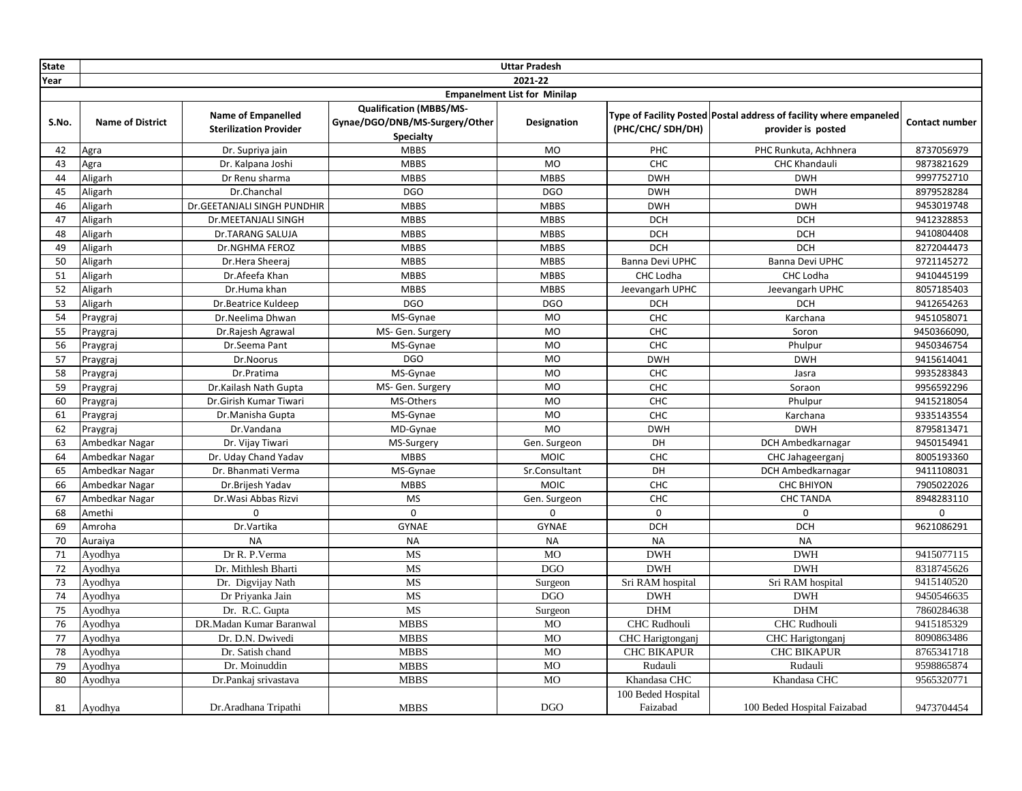| State | <b>Uttar Pradesh</b>    |                                                            |                                                                                      |                                     |                    |                                                                                          |                |  |
|-------|-------------------------|------------------------------------------------------------|--------------------------------------------------------------------------------------|-------------------------------------|--------------------|------------------------------------------------------------------------------------------|----------------|--|
| Year  |                         |                                                            |                                                                                      | 2021-22                             |                    |                                                                                          |                |  |
|       |                         |                                                            |                                                                                      | <b>Empanelment List for Minilap</b> |                    |                                                                                          |                |  |
| S.No. | <b>Name of District</b> | <b>Name of Empanelled</b><br><b>Sterilization Provider</b> | <b>Qualification (MBBS/MS-</b><br>Gynae/DGO/DNB/MS-Surgery/Other<br><b>Specialty</b> | Designation                         | (PHC/CHC/SDH/DH)   | Type of Facility Posted Postal address of facility where empaneled<br>provider is posted | Contact number |  |
| 42    | Agra                    | Dr. Supriya jain                                           | <b>MBBS</b>                                                                          | <b>MO</b>                           | PHC                | PHC Runkuta, Achhnera                                                                    | 8737056979     |  |
| 43    | Agra                    | Dr. Kalpana Joshi                                          | <b>MBBS</b>                                                                          | <b>MO</b>                           | CHC                | <b>CHC Khandauli</b>                                                                     | 9873821629     |  |
| 44    | Aligarh                 | Dr Renu sharma                                             | <b>MBBS</b>                                                                          | <b>MBBS</b>                         | <b>DWH</b>         | <b>DWH</b>                                                                               | 9997752710     |  |
| 45    | Aligarh                 | Dr.Chanchal                                                | <b>DGO</b>                                                                           | <b>DGO</b>                          | <b>DWH</b>         | <b>DWH</b>                                                                               | 8979528284     |  |
| 46    | Aligarh                 | Dr.GEETANJALI SINGH PUNDHIR                                | <b>MBBS</b>                                                                          | <b>MBBS</b>                         | <b>DWH</b>         | <b>DWH</b>                                                                               | 9453019748     |  |
| 47    | Aligarh                 | Dr.MEETANJALI SINGH                                        | <b>MBBS</b>                                                                          | <b>MBBS</b>                         | <b>DCH</b>         | <b>DCH</b>                                                                               | 9412328853     |  |
| 48    | Aligarh                 | Dr.TARANG SALUJA                                           | <b>MBBS</b>                                                                          | <b>MBBS</b>                         | <b>DCH</b>         | <b>DCH</b>                                                                               | 9410804408     |  |
| 49    | Aligarh                 | Dr.NGHMA FEROZ                                             | <b>MBBS</b>                                                                          | <b>MBBS</b>                         | <b>DCH</b>         | <b>DCH</b>                                                                               | 8272044473     |  |
| 50    | Aligarh                 | Dr.Hera Sheeraj                                            | <b>MBBS</b>                                                                          | <b>MBBS</b>                         | Banna Devi UPHC    | Banna Devi UPHC                                                                          | 9721145272     |  |
| 51    | Aligarh                 | Dr.Afeefa Khan                                             | <b>MBBS</b>                                                                          | <b>MBBS</b>                         | CHC Lodha          | CHC Lodha                                                                                | 9410445199     |  |
| 52    | Aligarh                 | Dr.Huma khan                                               | <b>MBBS</b>                                                                          | <b>MBBS</b>                         | Jeevangarh UPHC    | Jeevangarh UPHC                                                                          | 8057185403     |  |
| 53    | Aligarh                 | Dr.Beatrice Kuldeep                                        | <b>DGO</b>                                                                           | <b>DGO</b>                          | <b>DCH</b>         | <b>DCH</b>                                                                               | 9412654263     |  |
| 54    | Praygraj                | Dr.Neelima Dhwan                                           | MS-Gynae                                                                             | <b>MO</b>                           | CHC                | Karchana                                                                                 | 9451058071     |  |
| 55    | Praygraj                | Dr.Rajesh Agrawal                                          | MS- Gen. Surgery                                                                     | <b>MO</b>                           | CHC                | Soron                                                                                    | 9450366090,    |  |
| 56    | Praygraj                | Dr.Seema Pant                                              | MS-Gynae                                                                             | <b>MO</b>                           | CHC                | Phulpur                                                                                  | 9450346754     |  |
| 57    | Praygraj                | Dr.Noorus                                                  | <b>DGO</b>                                                                           | <b>MO</b>                           | <b>DWH</b>         | <b>DWH</b>                                                                               | 9415614041     |  |
| 58    | Praygraj                | Dr.Pratima                                                 | MS-Gynae                                                                             | MO                                  | CHC                | Jasra                                                                                    | 9935283843     |  |
| 59    | Praygraj                | Dr.Kailash Nath Gupta                                      | MS- Gen. Surgery                                                                     | <b>MO</b>                           | CHC                | Soraon                                                                                   | 9956592296     |  |
| 60    | Praygraj                | Dr.Girish Kumar Tiwari                                     | MS-Others                                                                            | <b>MO</b>                           | CHC                | Phulpur                                                                                  | 9415218054     |  |
| 61    | Praygraj                | Dr.Manisha Gupta                                           | MS-Gynae                                                                             | <b>MO</b>                           | CHC                | Karchana                                                                                 | 9335143554     |  |
| 62    | Praygraj                | Dr.Vandana                                                 | MD-Gynae                                                                             | <b>MO</b>                           | <b>DWH</b>         | <b>DWH</b>                                                                               | 8795813471     |  |
| 63    | Ambedkar Nagar          | Dr. Vijay Tiwari                                           | MS-Surgery                                                                           | Gen. Surgeon                        | DH                 | DCH Ambedkarnagar                                                                        | 9450154941     |  |
| 64    | Ambedkar Nagar          | Dr. Uday Chand Yadav                                       | <b>MBBS</b>                                                                          | <b>MOIC</b>                         | CHC                | CHC Jahageerganj                                                                         | 8005193360     |  |
| 65    | Ambedkar Nagar          | Dr. Bhanmati Verma                                         | MS-Gynae                                                                             | Sr.Consultant                       | DH                 | DCH Ambedkarnagar                                                                        | 9411108031     |  |
| 66    | Ambedkar Nagar          | Dr.Brijesh Yadav                                           | <b>MBBS</b>                                                                          | MOIC                                | CHC                | <b>CHC BHIYON</b>                                                                        | 7905022026     |  |
| 67    | Ambedkar Nagar          | Dr. Wasi Abbas Rizvi                                       | <b>MS</b>                                                                            | Gen. Surgeon                        | <b>CHC</b>         | <b>CHC TANDA</b>                                                                         | 8948283110     |  |
| 68    | Amethi                  | $\Omega$                                                   | $\Omega$                                                                             | $\Omega$                            | $\Omega$           | $\mathbf 0$                                                                              | 0              |  |
| 69    | Amroha                  | Dr.Vartika                                                 | <b>GYNAE</b>                                                                         | <b>GYNAE</b>                        | <b>DCH</b>         | <b>DCH</b>                                                                               | 9621086291     |  |
| 70    | Auraiya                 | <b>NA</b>                                                  | <b>NA</b>                                                                            | <b>NA</b>                           | <b>NA</b>          | <b>NA</b>                                                                                |                |  |
| 71    | Ayodhya                 | Dr R. P. Verma                                             | MS                                                                                   | <b>MO</b>                           | <b>DWH</b>         | <b>DWH</b>                                                                               | 9415077115     |  |
| 72    | Ayodhya                 | Dr. Mithlesh Bharti                                        | MS                                                                                   | <b>DGO</b>                          | <b>DWH</b>         | <b>DWH</b>                                                                               | 8318745626     |  |
| 73    | Ayodhya                 | Dr. Digvijay Nath                                          | <b>MS</b>                                                                            | Surgeon                             | Sri RAM hospital   | Sri RAM hospital                                                                         | 9415140520     |  |
| 74    | Ayodhya                 | Dr Priyanka Jain                                           | MS                                                                                   | <b>DGO</b>                          | <b>DWH</b>         | <b>DWH</b>                                                                               | 9450546635     |  |
| 75    | Ayodhya                 | Dr. R.C. Gupta                                             | MS                                                                                   | Surgeon                             | <b>DHM</b>         | <b>DHM</b>                                                                               | 7860284638     |  |
| 76    | Ayodhya                 | DR.Madan Kumar Baranwal                                    | <b>MBBS</b>                                                                          | <b>MO</b>                           | CHC Rudhouli       | CHC Rudhouli                                                                             | 9415185329     |  |
| 77    | Ayodhya                 | Dr. D.N. Dwivedi                                           | <b>MBBS</b>                                                                          | <b>MO</b>                           | CHC Harigtonganj   | CHC Harigtonganj                                                                         | 8090863486     |  |
| 78    | Ayodhya                 | Dr. Satish chand                                           | <b>MBBS</b>                                                                          | <b>MO</b>                           | <b>CHC BIKAPUR</b> | <b>CHC BIKAPUR</b>                                                                       | 8765341718     |  |
| 79    | Ayodhya                 | Dr. Moinuddin                                              | <b>MBBS</b>                                                                          | $_{\rm MO}$                         | Rudauli            | Rudauli                                                                                  | 9598865874     |  |
| 80    | Ayodhya                 | Dr.Pankaj srivastava                                       | <b>MBBS</b>                                                                          | <b>MO</b>                           | Khandasa CHC       | Khandasa CHC                                                                             | 9565320771     |  |
|       |                         |                                                            |                                                                                      |                                     | 100 Beded Hospital |                                                                                          |                |  |
| 81    | Ayodhya                 | Dr. Aradhana Tripathi                                      | <b>MBBS</b>                                                                          | <b>DGO</b>                          | Faizabad           | 100 Beded Hospital Faizabad                                                              | 9473704454     |  |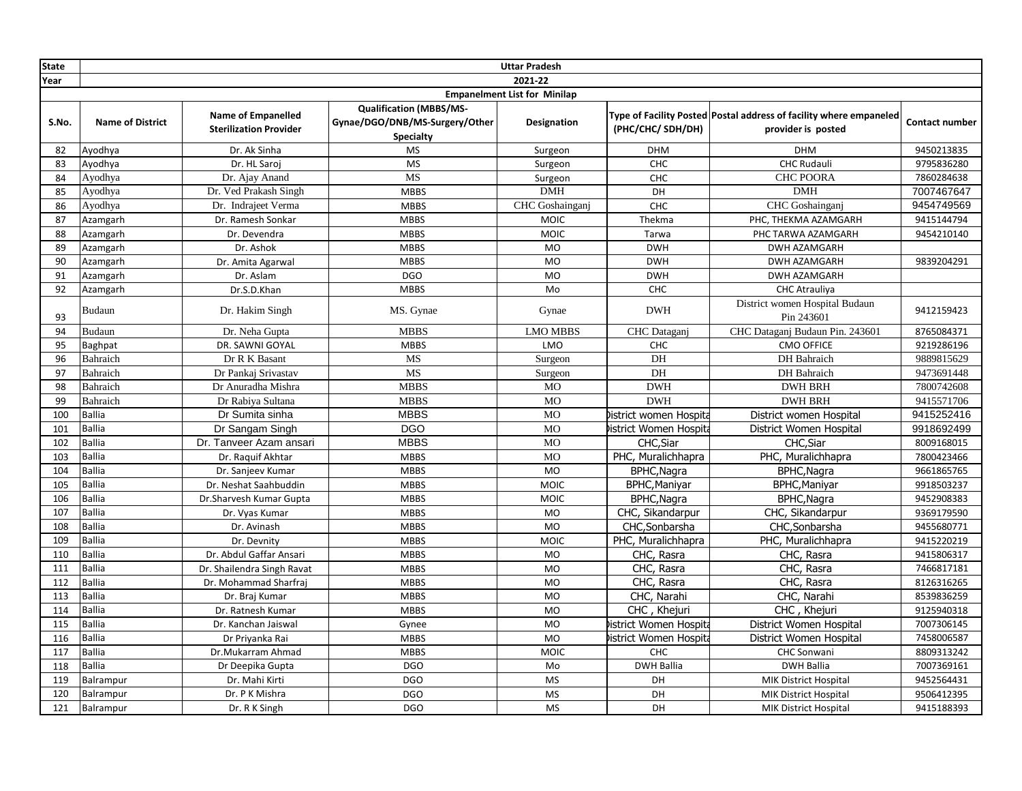| <b>State</b> |                         |                                                            |                                                                                      | <b>Uttar Pradesh</b>                |                        |                                                                                          |                |
|--------------|-------------------------|------------------------------------------------------------|--------------------------------------------------------------------------------------|-------------------------------------|------------------------|------------------------------------------------------------------------------------------|----------------|
| Year         |                         |                                                            |                                                                                      | 2021-22                             |                        |                                                                                          |                |
|              |                         |                                                            |                                                                                      | <b>Empanelment List for Minilap</b> |                        |                                                                                          |                |
| S.No.        | <b>Name of District</b> | <b>Name of Empanelled</b><br><b>Sterilization Provider</b> | <b>Qualification (MBBS/MS-</b><br>Gynae/DGO/DNB/MS-Surgery/Other<br><b>Specialty</b> | <b>Designation</b>                  | (PHC/CHC/ SDH/DH)      | Type of Facility Posted Postal address of facility where empaneled<br>provider is posted | Contact number |
| 82           | Ayodhya                 | Dr. Ak Sinha                                               | <b>MS</b>                                                                            | Surgeon                             | <b>DHM</b>             | <b>DHM</b>                                                                               | 9450213835     |
| 83           | Ayodhya                 | Dr. HL Saroj                                               | <b>MS</b>                                                                            | Surgeon                             | CHC                    | <b>CHC Rudauli</b>                                                                       | 9795836280     |
| 84           | Ayodhya                 | Dr. Ajay Anand                                             | <b>MS</b>                                                                            | Surgeon                             | CHC                    | <b>CHC POORA</b>                                                                         | 7860284638     |
| 85           | Ayodhya                 | Dr. Ved Prakash Singh                                      | <b>MBBS</b>                                                                          | <b>DMH</b>                          | DH                     | <b>DMH</b>                                                                               | 7007467647     |
| 86           | Ayodhya                 | Dr. Indrajeet Verma                                        | <b>MBBS</b>                                                                          | CHC Goshainganj                     | CHC                    | <b>CHC</b> Goshainganj                                                                   | 9454749569     |
| 87           | Azamgarh                | Dr. Ramesh Sonkar                                          | <b>MBBS</b>                                                                          | <b>MOIC</b>                         | Thekma                 | PHC, THEKMA AZAMGARH                                                                     | 9415144794     |
| 88           | Azamgarh                | Dr. Devendra                                               | <b>MBBS</b>                                                                          | <b>MOIC</b>                         | Tarwa                  | PHC TARWA AZAMGARH                                                                       | 9454210140     |
| 89           | Azamgarh                | Dr. Ashok                                                  | <b>MBBS</b>                                                                          | <b>MO</b>                           | <b>DWH</b>             | <b>DWH AZAMGARH</b>                                                                      |                |
| 90           | Azamgarh                | Dr. Amita Agarwal                                          | <b>MBBS</b>                                                                          | <b>MO</b>                           | <b>DWH</b>             | DWH AZAMGARH                                                                             | 9839204291     |
| 91           | Azamgarh                | Dr. Aslam                                                  | <b>DGO</b>                                                                           | <b>MO</b>                           | <b>DWH</b>             | DWH AZAMGARH                                                                             |                |
| 92           | Azamgarh                | Dr.S.D.Khan                                                | <b>MBBS</b>                                                                          | Mo                                  | <b>CHC</b>             | <b>CHC Atrauliya</b>                                                                     |                |
| 93           | Budaun                  | Dr. Hakim Singh                                            | MS. Gynae                                                                            | Gynae                               | <b>DWH</b>             | District women Hospital Budaun<br>Pin 243601                                             | 9412159423     |
| 94           | Budaun                  | Dr. Neha Gupta                                             | <b>MBBS</b>                                                                          | <b>LMO MBBS</b>                     | CHC Dataganj           | CHC Dataganj Budaun Pin. 243601                                                          | 8765084371     |
| 95           | Baghpat                 | DR. SAWNI GOYAL                                            | <b>MBBS</b>                                                                          | LMO                                 | CHC                    | <b>CMO OFFICE</b>                                                                        | 9219286196     |
| 96           | Bahraich                | Dr R K Basant                                              | MS                                                                                   | Surgeon                             | DH                     | DH Bahraich                                                                              | 9889815629     |
| 97           | Bahraich                | Dr Pankaj Srivastav                                        | MS                                                                                   | Surgeon                             | DH                     | DH Bahraich                                                                              | 9473691448     |
| 98           | Bahraich                | Dr Anuradha Mishra                                         | <b>MBBS</b>                                                                          | <b>MO</b>                           | <b>DWH</b>             | <b>DWH BRH</b>                                                                           | 7800742608     |
| 99           | Bahraich                | Dr Rabiya Sultana                                          | <b>MBBS</b>                                                                          | <b>MO</b>                           | <b>DWH</b>             | <b>DWH BRH</b>                                                                           | 9415571706     |
| 100          | <b>Ballia</b>           | Dr Sumita sinha                                            | <b>MBBS</b>                                                                          | <b>MO</b>                           | District women Hospita | District women Hospital                                                                  | 9415252416     |
| 101          | <b>Ballia</b>           | Dr Sangam Singh                                            | <b>DGO</b>                                                                           | <b>MO</b>                           | istrict Women Hospita  | District Women Hospital                                                                  | 9918692499     |
| 102          | <b>Ballia</b>           | Dr. Tanveer Azam ansari                                    | <b>MBBS</b>                                                                          | <b>MO</b>                           | CHC, Siar              | CHC, Siar                                                                                | 8009168015     |
| 103          | <b>Ballia</b>           | Dr. Raguif Akhtar                                          | <b>MBBS</b>                                                                          | <b>MO</b>                           | PHC, Muralichhapra     | PHC, Muralichhapra                                                                       | 7800423466     |
| 104          | <b>Ballia</b>           | Dr. Sanjeev Kumar                                          | <b>MBBS</b>                                                                          | <b>MO</b>                           | BPHC, Nagra            | BPHC, Nagra                                                                              | 9661865765     |
| 105          | <b>Ballia</b>           | Dr. Neshat Saahbuddin                                      | <b>MBBS</b>                                                                          | <b>MOIC</b>                         | <b>BPHC, Maniyar</b>   | <b>BPHC, Maniyar</b>                                                                     | 9918503237     |
| 106          | <b>Ballia</b>           | Dr.Sharvesh Kumar Gupta                                    | <b>MBBS</b>                                                                          | MOIC                                | BPHC, Nagra            | BPHC, Nagra                                                                              | 9452908383     |
| 107          | <b>Ballia</b>           | Dr. Vyas Kumar                                             | <b>MBBS</b>                                                                          | <b>MO</b>                           | CHC, Sikandarpur       | CHC, Sikandarpur                                                                         | 9369179590     |
| 108          | <b>Ballia</b>           | Dr. Avinash                                                | <b>MBBS</b>                                                                          | <b>MO</b>                           | CHC, Sonbarsha         | CHC, Sonbarsha                                                                           | 9455680771     |
| 109          | <b>Ballia</b>           | Dr. Devnity                                                | <b>MBBS</b>                                                                          | MOIC                                | PHC, Muralichhapra     | PHC, Muralichhapra                                                                       | 9415220219     |
| 110          | <b>Ballia</b>           | Dr. Abdul Gaffar Ansari                                    | <b>MBBS</b>                                                                          | MO                                  | CHC, Rasra             | CHC, Rasra                                                                               | 9415806317     |
| 111          | <b>Ballia</b>           | Dr. Shailendra Singh Ravat                                 | <b>MBBS</b>                                                                          | <b>MO</b>                           | CHC, Rasra             | CHC, Rasra                                                                               | 7466817181     |
| 112          | <b>Ballia</b>           | Dr. Mohammad Sharfraj                                      | <b>MBBS</b>                                                                          | <b>MO</b>                           | CHC, Rasra             | CHC, Rasra                                                                               | 8126316265     |
| 113          | Ballia                  | Dr. Braj Kumar                                             | <b>MBBS</b>                                                                          | <b>MO</b>                           | CHC, Narahi            | CHC, Narahi                                                                              | 8539836259     |
| 114          | <b>Ballia</b>           | Dr. Ratnesh Kumar                                          | <b>MBBS</b>                                                                          | <b>MO</b>                           | CHC, Khejuri           | CHC, Khejuri                                                                             | 9125940318     |
| 115          | <b>Ballia</b>           | Dr. Kanchan Jaiswal                                        | Gynee                                                                                | <b>MO</b>                           | istrict Women Hospita  | District Women Hospital                                                                  | 7007306145     |
| 116          | <b>Ballia</b>           | Dr Priyanka Rai                                            | <b>MBBS</b>                                                                          | <b>MO</b>                           | istrict Women Hospita  | District Women Hospital                                                                  | 7458006587     |
| 117          | Ballia                  | Dr.Mukarram Ahmad                                          | <b>MBBS</b>                                                                          | <b>MOIC</b>                         | CHC                    | CHC Sonwani                                                                              | 8809313242     |
| 118          | Ballia                  | Dr Deepika Gupta                                           | <b>DGO</b>                                                                           | Mo                                  | <b>DWH Ballia</b>      | <b>DWH Ballia</b>                                                                        | 7007369161     |
| 119          | Balrampur               | Dr. Mahi Kirti                                             | <b>DGO</b>                                                                           | <b>MS</b>                           | DH                     | <b>MIK District Hospital</b>                                                             | 9452564431     |
| 120          | Balrampur               | Dr. P K Mishra                                             | <b>DGO</b>                                                                           | <b>MS</b>                           | DH                     | <b>MIK District Hospital</b>                                                             | 9506412395     |
| 121          | Balrampur               | Dr. R K Singh                                              | <b>DGO</b>                                                                           | <b>MS</b>                           | DH                     | <b>MIK District Hospital</b>                                                             | 9415188393     |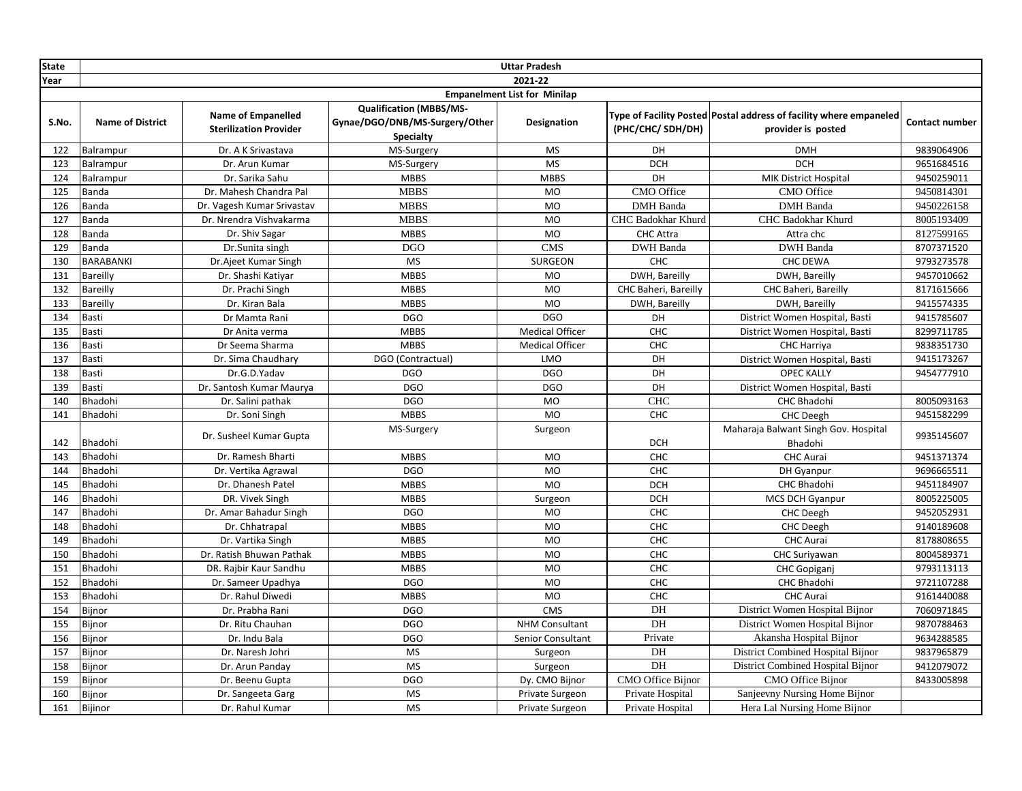| <b>State</b> |                         |                                                            |                                                                                      | <b>Uttar Pradesh</b>                |                      |                                                                                          |                |
|--------------|-------------------------|------------------------------------------------------------|--------------------------------------------------------------------------------------|-------------------------------------|----------------------|------------------------------------------------------------------------------------------|----------------|
| Year         |                         |                                                            |                                                                                      | 2021-22                             |                      |                                                                                          |                |
|              |                         |                                                            |                                                                                      | <b>Empanelment List for Minilap</b> |                      |                                                                                          |                |
| S.No.        | <b>Name of District</b> | <b>Name of Empanelled</b><br><b>Sterilization Provider</b> | <b>Qualification (MBBS/MS-</b><br>Gynae/DGO/DNB/MS-Surgery/Other<br><b>Specialty</b> | Designation                         | (PHC/CHC/ SDH/DH)    | Type of Facility Posted Postal address of facility where empaneled<br>provider is posted | Contact number |
| 122          | Balrampur               | Dr. A K Srivastava                                         | MS-Surgery                                                                           | <b>MS</b>                           | DH                   | <b>DMH</b>                                                                               | 9839064906     |
| 123          | Balrampur               | Dr. Arun Kumar                                             | MS-Surgery                                                                           | <b>MS</b>                           | <b>DCH</b>           | <b>DCH</b>                                                                               | 9651684516     |
| 124          | Balrampur               | Dr. Sarika Sahu                                            | <b>MBBS</b>                                                                          | <b>MBBS</b>                         | DH                   | <b>MIK District Hospital</b>                                                             | 9450259011     |
| 125          | Banda                   | Dr. Mahesh Chandra Pal                                     | <b>MBBS</b>                                                                          | MO                                  | CMO Office           | <b>CMO</b> Office                                                                        | 9450814301     |
| 126          | Banda                   | Dr. Vagesh Kumar Srivastav                                 | <b>MBBS</b>                                                                          | <b>MO</b>                           | <b>DMH</b> Banda     | <b>DMH</b> Banda                                                                         | 9450226158     |
| 127          | Banda                   | Dr. Nrendra Vishvakarma                                    | <b>MBBS</b>                                                                          | MO                                  | CHC Badokhar Khurd   | CHC Badokhar Khurd                                                                       | 8005193409     |
| 128          | Banda                   | Dr. Shiv Sagar                                             | <b>MBBS</b>                                                                          | <b>MO</b>                           | <b>CHC Attra</b>     | Attra chc                                                                                | 8127599165     |
| 129          | Banda                   | Dr.Sunita singh                                            | <b>DGO</b>                                                                           | <b>CMS</b>                          | DWH Banda            | <b>DWH</b> Banda                                                                         | 8707371520     |
| 130          | <b>BARABANKI</b>        | Dr.Ajeet Kumar Singh                                       | <b>MS</b>                                                                            | SURGEON                             | CHC                  | CHC DEWA                                                                                 | 9793273578     |
| 131          | Bareilly                | Dr. Shashi Katiyar                                         | <b>MBBS</b>                                                                          | MO                                  | DWH, Bareilly        | DWH, Bareilly                                                                            | 9457010662     |
| 132          | Bareilly                | Dr. Prachi Singh                                           | <b>MBBS</b>                                                                          | <b>MO</b>                           | CHC Baheri, Bareilly | CHC Baheri, Bareilly                                                                     | 8171615666     |
| 133          | Bareilly                | Dr. Kiran Bala                                             | <b>MBBS</b>                                                                          | <b>MO</b>                           | DWH, Bareilly        | DWH, Bareilly                                                                            | 9415574335     |
| 134          | Basti                   | Dr Mamta Rani                                              | <b>DGO</b>                                                                           | <b>DGO</b>                          | DH                   | District Women Hospital, Basti                                                           | 9415785607     |
| 135          | Basti                   | Dr Anita verma                                             | <b>MBBS</b>                                                                          | <b>Medical Officer</b>              | CHC                  | District Women Hospital, Basti                                                           | 8299711785     |
| 136          | Basti                   | Dr Seema Sharma                                            | <b>MBBS</b>                                                                          | <b>Medical Officer</b>              | CHC                  | CHC Harriya                                                                              | 9838351730     |
| 137          | Basti                   | Dr. Sima Chaudhary                                         | DGO (Contractual)                                                                    | LMO                                 | DH                   | District Women Hospital, Basti                                                           | 9415173267     |
| 138          | Basti                   | Dr.G.D.Yadav                                               | <b>DGO</b>                                                                           | <b>DGO</b>                          | DH                   | <b>OPEC KALLY</b>                                                                        | 9454777910     |
| 139          | Basti                   | Dr. Santosh Kumar Maurya                                   | <b>DGO</b>                                                                           | <b>DGO</b>                          | DH                   | District Women Hospital, Basti                                                           |                |
| 140          | Bhadohi                 | Dr. Salini pathak                                          | <b>DGO</b>                                                                           | MO                                  | CHC                  | CHC Bhadohi                                                                              | 8005093163     |
| 141          | Bhadohi                 | Dr. Soni Singh                                             | <b>MBBS</b>                                                                          | <b>MO</b>                           | <b>CHC</b>           | CHC Deegh                                                                                | 9451582299     |
| 142          | Bhadohi                 | Dr. Susheel Kumar Gupta                                    | MS-Surgery                                                                           | Surgeon                             | <b>DCH</b>           | Maharaja Balwant Singh Gov. Hospital<br>Bhadohi                                          | 9935145607     |
| 143          | Bhadohi                 | Dr. Ramesh Bharti                                          | <b>MBBS</b>                                                                          | <b>MO</b>                           | <b>CHC</b>           | CHC Aurai                                                                                | 9451371374     |
| 144          | Bhadohi                 | Dr. Vertika Agrawal                                        | <b>DGO</b>                                                                           | <b>MO</b>                           | <b>CHC</b>           | DH Gyanpur                                                                               | 9696665511     |
| 145          | Bhadohi                 | Dr. Dhanesh Patel                                          | <b>MBBS</b>                                                                          | <b>MO</b>                           | <b>DCH</b>           | CHC Bhadohi                                                                              | 9451184907     |
| 146          | Bhadohi                 | DR. Vivek Singh                                            | <b>MBBS</b>                                                                          | Surgeon                             | <b>DCH</b>           | MCS DCH Gyanpur                                                                          | 8005225005     |
| 147          | Bhadohi                 | Dr. Amar Bahadur Singh                                     | <b>DGO</b>                                                                           | <b>MO</b>                           | CHC                  | <b>CHC Deegh</b>                                                                         | 9452052931     |
| 148          | Bhadohi                 | Dr. Chhatrapal                                             | <b>MBBS</b>                                                                          | MO                                  | CHC                  | CHC Deegh                                                                                | 9140189608     |
| 149          | Bhadohi                 | Dr. Vartika Singh                                          | <b>MBBS</b>                                                                          | <b>MO</b>                           | CHC                  | <b>CHC</b> Aurai                                                                         | 8178808655     |
| 150          | Bhadohi                 | Dr. Ratish Bhuwan Pathak                                   | <b>MBBS</b>                                                                          | <b>MO</b>                           | CHC                  | CHC Suriyawan                                                                            | 8004589371     |
| 151          | Bhadohi                 | DR. Rajbir Kaur Sandhu                                     | <b>MBBS</b>                                                                          | <b>MO</b>                           | CHC                  | CHC Gopiganj                                                                             | 9793113113     |
| 152          | Bhadohi                 | Dr. Sameer Upadhya                                         | <b>DGO</b>                                                                           | <b>MO</b>                           | CHC                  | <b>CHC Bhadohi</b>                                                                       | 9721107288     |
| 153          | Bhadohi                 | Dr. Rahul Diwedi                                           | <b>MBBS</b>                                                                          | MO                                  | CHC                  | <b>CHC</b> Aurai                                                                         | 9161440088     |
| 154          | Bijnor                  | Dr. Prabha Rani                                            | <b>DGO</b>                                                                           | <b>CMS</b>                          | DH                   | District Women Hospital Bijnor                                                           | 7060971845     |
| 155          | Bijnor                  | Dr. Ritu Chauhan                                           | <b>DGO</b>                                                                           | <b>NHM Consultant</b>               | DH                   | District Women Hospital Bijnor                                                           | 9870788463     |
| 156          | Bijnor                  | Dr. Indu Bala                                              | <b>DGO</b>                                                                           | Senior Consultant                   | Private              | Akansha Hospital Bijnor                                                                  | 9634288585     |
| 157          | Bijnor                  | Dr. Naresh Johri                                           | <b>MS</b>                                                                            | Surgeon                             | DH                   | District Combined Hospital Bijnor                                                        | 9837965879     |
| 158          | Bijnor                  | Dr. Arun Panday                                            | <b>MS</b>                                                                            | Surgeon                             | DH                   | District Combined Hospital Bijnor                                                        | 9412079072     |
| 159          | Bijnor                  | Dr. Beenu Gupta                                            | <b>DGO</b>                                                                           | Dy. CMO Bijnor                      | CMO Office Bijnor    | <b>CMO</b> Office Bijnor                                                                 | 8433005898     |
| 160          | Bijnor                  | Dr. Sangeeta Garg                                          | <b>MS</b>                                                                            | Private Surgeon                     | Private Hospital     | Sanjeevny Nursing Home Bijnor                                                            |                |
| 161          | Bijinor                 | Dr. Rahul Kumar                                            | <b>MS</b>                                                                            | Private Surgeon                     | Private Hospital     | Hera Lal Nursing Home Bijnor                                                             |                |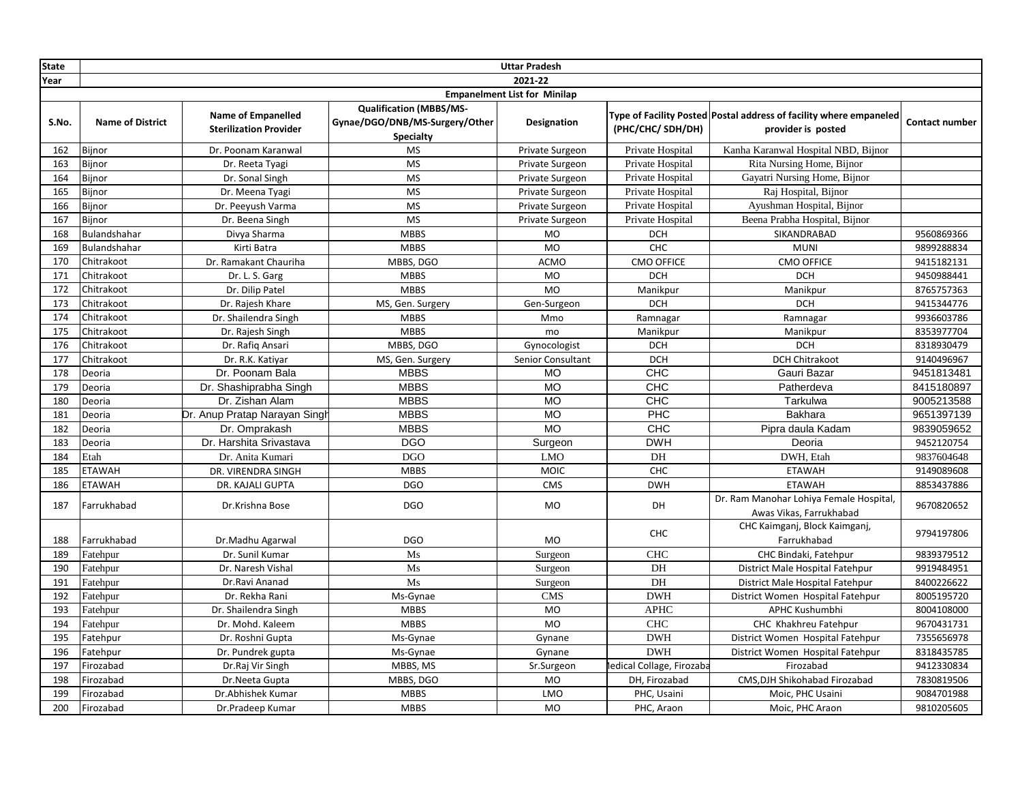| <b>State</b> |                         |                                                            |                                                                                      | <b>Uttar Pradesh</b>                |                           |                                                                                          |                       |
|--------------|-------------------------|------------------------------------------------------------|--------------------------------------------------------------------------------------|-------------------------------------|---------------------------|------------------------------------------------------------------------------------------|-----------------------|
| Year         |                         |                                                            |                                                                                      | 2021-22                             |                           |                                                                                          |                       |
|              |                         |                                                            |                                                                                      | <b>Empanelment List for Minilap</b> |                           |                                                                                          |                       |
| S.No.        | <b>Name of District</b> | <b>Name of Empanelled</b><br><b>Sterilization Provider</b> | <b>Qualification (MBBS/MS-</b><br>Gynae/DGO/DNB/MS-Surgery/Other<br><b>Specialty</b> | Designation                         | (PHC/CHC/SDH/DH)          | Type of Facility Posted Postal address of facility where empaneled<br>provider is posted | <b>Contact number</b> |
| 162          | Bijnor                  | Dr. Poonam Karanwal                                        | <b>MS</b>                                                                            | Private Surgeon                     | Private Hospital          | Kanha Karanwal Hospital NBD, Bijnor                                                      |                       |
| 163          | Bijnor                  | Dr. Reeta Tyagi                                            | <b>MS</b>                                                                            | Private Surgeon                     | Private Hospital          | Rita Nursing Home, Bijnor                                                                |                       |
| 164          | Bijnor                  | Dr. Sonal Singh                                            | <b>MS</b>                                                                            | Private Surgeon                     | Private Hospital          | Gayatri Nursing Home, Bijnor                                                             |                       |
| 165          | Bijnor                  | Dr. Meena Tyagi                                            | <b>MS</b>                                                                            | Private Surgeon                     | Private Hospital          | Raj Hospital, Bijnor                                                                     |                       |
| 166          | Bijnor                  | Dr. Peeyush Varma                                          | <b>MS</b>                                                                            | Private Surgeon                     | Private Hospital          | Ayushman Hospital, Bijnor                                                                |                       |
| 167          | Bijnor                  | Dr. Beena Singh                                            | <b>MS</b>                                                                            | Private Surgeon                     | Private Hospital          | Beena Prabha Hospital, Bijnor                                                            |                       |
| 168          | Bulandshahar            | Divya Sharma                                               | <b>MBBS</b>                                                                          | MO                                  | <b>DCH</b>                | SIKANDRABAD                                                                              | 9560869366            |
| 169          | Bulandshahar            | Kirti Batra                                                | <b>MBBS</b>                                                                          | <b>MO</b>                           | CHC                       | <b>MUNI</b>                                                                              | 9899288834            |
| 170          | Chitrakoot              | Dr. Ramakant Chauriha                                      | MBBS, DGO                                                                            | ACMO                                | <b>CMO OFFICE</b>         | <b>CMO OFFICE</b>                                                                        | 9415182131            |
| 171          | Chitrakoot              | Dr. L. S. Garg                                             | <b>MBBS</b>                                                                          | <b>MO</b>                           | <b>DCH</b>                | <b>DCH</b>                                                                               | 9450988441            |
| 172          | Chitrakoot              | Dr. Dilip Patel                                            | <b>MBBS</b>                                                                          | <b>MO</b>                           | Manikpur                  | Manikpur                                                                                 | 8765757363            |
| 173          | Chitrakoot              | Dr. Rajesh Khare                                           | MS, Gen. Surgery                                                                     | Gen-Surgeon                         | <b>DCH</b>                | <b>DCH</b>                                                                               | 9415344776            |
| 174          | Chitrakoot              | Dr. Shailendra Singh                                       | <b>MBBS</b>                                                                          | Mmo                                 | Ramnagar                  | Ramnagar                                                                                 | 9936603786            |
| 175          | Chitrakoot              | Dr. Rajesh Singh                                           | <b>MBBS</b>                                                                          | mo                                  | Manikpur                  | Manikpur                                                                                 | 8353977704            |
| 176          | Chitrakoot              | Dr. Rafiq Ansari                                           | MBBS, DGO                                                                            | Gynocologist                        | <b>DCH</b>                | <b>DCH</b>                                                                               | 8318930479            |
| 177          | Chitrakoot              | Dr. R.K. Katiyar                                           | MS, Gen. Surgery                                                                     | Senior Consultant                   | <b>DCH</b>                | <b>DCH Chitrakoot</b>                                                                    | 9140496967            |
| 178          | Deoria                  | Dr. Poonam Bala                                            | <b>MBBS</b>                                                                          | <b>MO</b>                           | CHC                       | Gauri Bazar                                                                              | 9451813481            |
| 179          | Deoria                  | Dr. Shashiprabha Singh                                     | <b>MBBS</b>                                                                          | MO                                  | CHC                       | Patherdeva                                                                               | 8415180897            |
| 180          | Deoria                  | Dr. Zishan Alam                                            | <b>MBBS</b>                                                                          | $\overline{MO}$                     | CHC                       | Tarkulwa                                                                                 | 9005213588            |
| 181          | Deoria                  | Dr. Anup Pratap Narayan Singh                              | <b>MBBS</b>                                                                          | <b>MO</b>                           | PHC                       | Bakhara                                                                                  | 9651397139            |
| 182          | Deoria                  | Dr. Omprakash                                              | <b>MBBS</b>                                                                          | <b>MO</b>                           | <b>CHC</b>                | Pipra daula Kadam                                                                        | 9839059652            |
| 183          | Deoria                  | Dr. Harshita Srivastava                                    | <b>DGO</b>                                                                           | Surgeon                             | <b>DWH</b>                | Deoria                                                                                   | 9452120754            |
| 184          | Etah                    | Dr. Anita Kumari                                           | <b>DGO</b>                                                                           | <b>LMO</b>                          | DH                        | DWH, Etah                                                                                | 9837604648            |
| 185          | <b>ETAWAH</b>           | DR. VIRENDRA SINGH                                         | <b>MBBS</b>                                                                          | <b>MOIC</b>                         | CHC                       | <b>ETAWAH</b>                                                                            | 9149089608            |
| 186          | <b>ETAWAH</b>           | DR. KAJALI GUPTA                                           | <b>DGO</b>                                                                           | CMS                                 | <b>DWH</b>                | <b>ETAWAH</b>                                                                            | 8853437886            |
| 187          | Farrukhabad             | Dr.Krishna Bose                                            | <b>DGO</b>                                                                           | MO                                  | DH                        | Dr. Ram Manohar Lohiya Female Hospital,<br>Awas Vikas, Farrukhabad                       | 9670820652            |
| 188          | Farrukhabad             | Dr.Madhu Agarwal                                           | <b>DGO</b>                                                                           | <b>MO</b>                           | <b>CHC</b>                | CHC Kaimganj, Block Kaimganj,<br>Farrukhabad                                             | 9794197806            |
| 189          | Fatehpur                | Dr. Sunil Kumar                                            | Ms                                                                                   | Surgeon                             | <b>CHC</b>                | CHC Bindaki, Fatehpur                                                                    | 9839379512            |
| 190          | Fatehpur                | Dr. Naresh Vishal                                          | Ms                                                                                   | Surgeon                             | DH                        | District Male Hospital Fatehpur                                                          | 9919484951            |
| 191          | Fatehpur                | Dr.Ravi Ananad                                             | $\rm Ms$                                                                             | Surgeon                             | $\rm{DH}$                 | District Male Hospital Fatehpur                                                          | 8400226622            |
| 192          | Fatehpur                | Dr. Rekha Rani                                             | Ms-Gynae                                                                             | <b>CMS</b>                          | <b>DWH</b>                | District Women Hospital Fatehpur                                                         | 8005195720            |
| 193          | Fatehpur                | Dr. Shailendra Singh                                       | <b>MBBS</b>                                                                          | <b>MO</b>                           | <b>APHC</b>               | APHC Kushumbhi                                                                           | 8004108000            |
| 194          | Fatehpur                | Dr. Mohd. Kaleem                                           | <b>MBBS</b>                                                                          | <b>MO</b>                           | <b>CHC</b>                | CHC Khakhreu Fatehpur                                                                    | 9670431731            |
| 195          | Fatehpur                | Dr. Roshni Gupta                                           | Ms-Gynae                                                                             | Gynane                              | <b>DWH</b>                | District Women Hospital Fatehpur                                                         | 7355656978            |
| 196          | Fatehpur                | Dr. Pundrek gupta                                          | Ms-Gynae                                                                             | Gynane                              | <b>DWH</b>                | District Women Hospital Fatehpur                                                         | 8318435785            |
| 197          | Firozabad               | Dr.Raj Vir Singh                                           | MBBS, MS                                                                             | Sr.Surgeon                          | ledical Collage, Firozaba | Firozabad                                                                                | 9412330834            |
| 198          | Firozabad               | Dr.Neeta Gupta                                             | MBBS, DGO                                                                            | <b>MO</b>                           | DH, Firozabad             | CMS, DJH Shikohabad Firozabad                                                            | 7830819506            |
| 199          | Firozabad               | Dr.Abhishek Kumar                                          | <b>MBBS</b>                                                                          | LMO                                 | PHC, Usaini               | Moic, PHC Usaini                                                                         | 9084701988            |
| 200          | Firozabad               | Dr.Pradeep Kumar                                           | <b>MBBS</b>                                                                          | <b>MO</b>                           | PHC, Araon                | Moic, PHC Araon                                                                          | 9810205605            |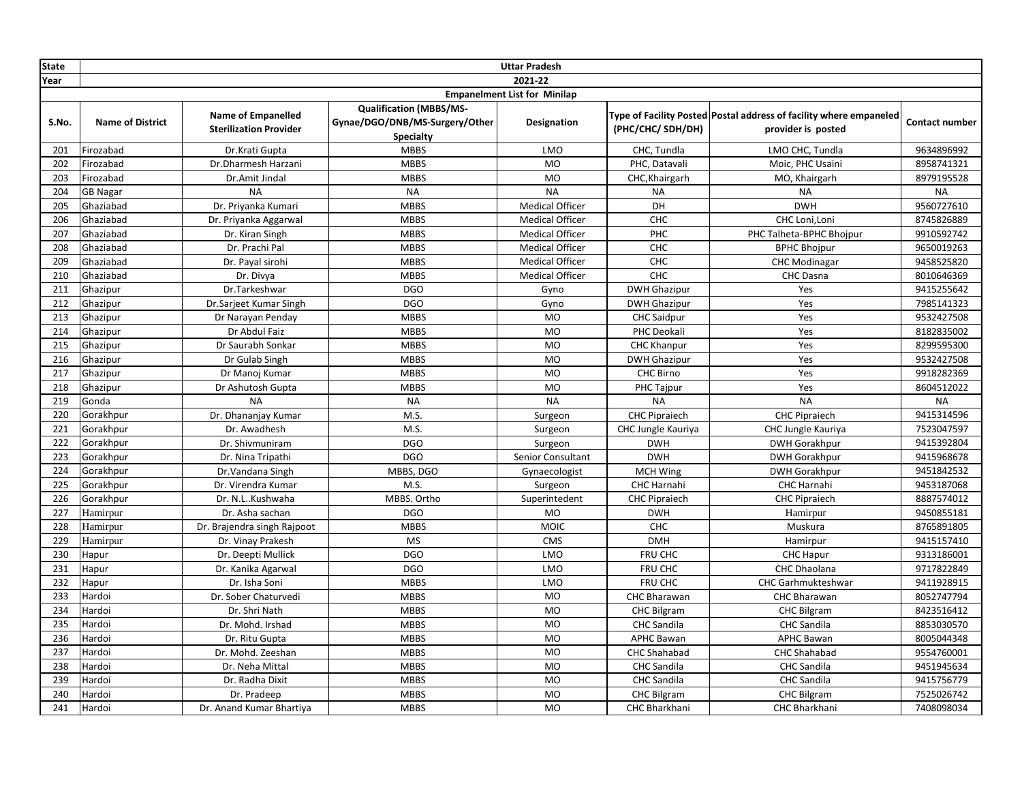| <b>State</b> |                                     |                                                            |                                                                                      | <b>Uttar Pradesh</b>   |                      |                                                                                          |                       |  |  |
|--------------|-------------------------------------|------------------------------------------------------------|--------------------------------------------------------------------------------------|------------------------|----------------------|------------------------------------------------------------------------------------------|-----------------------|--|--|
| Year         |                                     |                                                            |                                                                                      | 2021-22                |                      |                                                                                          |                       |  |  |
|              | <b>Empanelment List for Minilap</b> |                                                            |                                                                                      |                        |                      |                                                                                          |                       |  |  |
| S.No.        | <b>Name of District</b>             | <b>Name of Empanelled</b><br><b>Sterilization Provider</b> | <b>Qualification (MBBS/MS-</b><br>Gynae/DGO/DNB/MS-Surgery/Other<br><b>Specialty</b> | Designation            | (PHC/CHC/ SDH/DH)    | Type of Facility Posted Postal address of facility where empaneled<br>provider is posted | <b>Contact number</b> |  |  |
| 201          | Firozabad                           | Dr.Krati Gupta                                             | <b>MBBS</b>                                                                          | LMO                    | CHC, Tundla          | LMO CHC, Tundla                                                                          | 9634896992            |  |  |
| 202          | Firozabad                           | Dr.Dharmesh Harzani                                        | <b>MBBS</b>                                                                          | <b>MO</b>              | PHC, Datavali        | Moic, PHC Usaini                                                                         | 8958741321            |  |  |
| 203          | Firozabad                           | Dr.Amit Jindal                                             | <b>MBBS</b>                                                                          | <b>MO</b>              | CHC, Khairgarh       | MO, Khairgarh                                                                            | 8979195528            |  |  |
| 204          | <b>GB Nagar</b>                     | <b>NA</b>                                                  | <b>NA</b>                                                                            | <b>NA</b>              | <b>NA</b>            | <b>NA</b>                                                                                | <b>NA</b>             |  |  |
| 205          | Ghaziabad                           | Dr. Priyanka Kumari                                        | <b>MBBS</b>                                                                          | <b>Medical Officer</b> | DH                   | <b>DWH</b>                                                                               | 9560727610            |  |  |
| 206          | Ghaziabad                           | Dr. Priyanka Aggarwal                                      | <b>MBBS</b>                                                                          | <b>Medical Officer</b> | CHC                  | CHC Loni, Loni                                                                           | 8745826889            |  |  |
| 207          | Ghaziabad                           | Dr. Kiran Singh                                            | <b>MBBS</b>                                                                          | <b>Medical Officer</b> | PHC                  | PHC Talheta-BPHC Bhojpur                                                                 | 9910592742            |  |  |
| 208          | Ghaziabad                           | Dr. Prachi Pal                                             | <b>MBBS</b>                                                                          | <b>Medical Officer</b> | CHC                  | <b>BPHC Bhojpur</b>                                                                      | 9650019263            |  |  |
| 209          | Ghaziabad                           | Dr. Payal sirohi                                           | <b>MBBS</b>                                                                          | <b>Medical Officer</b> | CHC                  | <b>CHC Modinagar</b>                                                                     | 9458525820            |  |  |
| 210          | Ghaziabad                           | Dr. Divya                                                  | <b>MBBS</b>                                                                          | <b>Medical Officer</b> | <b>CHC</b>           | CHC Dasna                                                                                | 8010646369            |  |  |
| 211          | Ghazipur                            | Dr.Tarkeshwar                                              | <b>DGO</b>                                                                           | Gyno                   | <b>DWH Ghazipur</b>  | Yes                                                                                      | 9415255642            |  |  |
| 212          | Ghazipur                            | Dr.Sarjeet Kumar Singh                                     | <b>DGO</b>                                                                           | Gyno                   | <b>DWH Ghazipur</b>  | Yes                                                                                      | 7985141323            |  |  |
| 213          | Ghazipur                            | Dr Narayan Penday                                          | <b>MBBS</b>                                                                          | MO                     | <b>CHC Saidpur</b>   | Yes                                                                                      | 9532427508            |  |  |
| 214          | Ghazipur                            | Dr Abdul Faiz                                              | <b>MBBS</b>                                                                          | <b>MO</b>              | PHC Deokali          | Yes                                                                                      | 8182835002            |  |  |
| 215          | Ghazipur                            | Dr Saurabh Sonkar                                          | <b>MBBS</b>                                                                          | <b>MO</b>              | <b>CHC Khanpur</b>   | Yes                                                                                      | 8299595300            |  |  |
| 216          | Ghazipur                            | Dr Gulab Singh                                             | <b>MBBS</b>                                                                          | <b>MO</b>              | <b>DWH Ghazipur</b>  | Yes                                                                                      | 9532427508            |  |  |
| 217          | Ghazipur                            | Dr Manoj Kumar                                             | <b>MBBS</b>                                                                          | <b>MO</b>              | CHC Birno            | Yes                                                                                      | 9918282369            |  |  |
| 218          | Ghazipur                            | Dr Ashutosh Gupta                                          | <b>MBBS</b>                                                                          | <b>MO</b>              | PHC Tajpur           | Yes                                                                                      | 8604512022            |  |  |
| 219          | Gonda                               | <b>NA</b>                                                  | <b>NA</b>                                                                            | <b>NA</b>              | <b>NA</b>            | <b>NA</b>                                                                                | <b>NA</b>             |  |  |
| 220          | Gorakhpur                           | Dr. Dhananjay Kumar                                        | M.S.                                                                                 | Surgeon                | <b>CHC Pipraiech</b> | <b>CHC Pipraiech</b>                                                                     | 9415314596            |  |  |
| 221          | Gorakhpur                           | Dr. Awadhesh                                               | M.S.                                                                                 | Surgeon                | CHC Jungle Kauriya   | CHC Jungle Kauriya                                                                       | 7523047597            |  |  |
| 222          | Gorakhpur                           | Dr. Shivmuniram                                            | <b>DGO</b>                                                                           | Surgeon                | <b>DWH</b>           | <b>DWH Gorakhpur</b>                                                                     | 9415392804            |  |  |
| 223          | Gorakhpur                           | Dr. Nina Tripathi                                          | <b>DGO</b>                                                                           | Senior Consultant      | <b>DWH</b>           | <b>DWH Gorakhpur</b>                                                                     | 9415968678            |  |  |
| 224          | Gorakhpur                           | Dr. Vandana Singh                                          | MBBS, DGO                                                                            | Gynaecologist          | <b>MCH Wing</b>      | <b>DWH Gorakhpur</b>                                                                     | 9451842532            |  |  |
| 225          | Gorakhpur                           | Dr. Virendra Kumar                                         | M.S.                                                                                 | Surgeon                | CHC Harnahi          | CHC Harnahi                                                                              | 9453187068            |  |  |
| 226          | Gorakhpur                           | Dr. N.LKushwaha                                            | MBBS. Ortho                                                                          | Superintedent          | <b>CHC Pipraiech</b> | <b>CHC Pipraiech</b>                                                                     | 8887574012            |  |  |
| 227          | Hamirpur                            | Dr. Asha sachan                                            | <b>DGO</b>                                                                           | <b>MO</b>              | <b>DWH</b>           | Hamirpur                                                                                 | 9450855181            |  |  |
| 228          | Hamirpur                            | Dr. Brajendra singh Rajpoot                                | <b>MBBS</b>                                                                          | <b>MOIC</b>            | CHC                  | Muskura                                                                                  | 8765891805            |  |  |
| 229          | Hamirpur                            | Dr. Vinay Prakesh                                          | <b>MS</b>                                                                            | <b>CMS</b>             | <b>DMH</b>           | Hamirpur                                                                                 | 9415157410            |  |  |
| 230          | Hapur                               | Dr. Deepti Mullick                                         | <b>DGO</b>                                                                           | <b>LMO</b>             | FRU CHC              | CHC Hapur                                                                                | 9313186001            |  |  |
| 231          | Hapur                               | Dr. Kanika Agarwal                                         | <b>DGO</b>                                                                           | LMO                    | FRU CHC              | CHC Dhaolana                                                                             | 9717822849            |  |  |
| 232          | Hapur                               | Dr. Isha Soni                                              | <b>MBBS</b>                                                                          | LMO                    | FRU CHC              | CHC Garhmukteshwar                                                                       | 9411928915            |  |  |
| 233          | Hardoi                              | Dr. Sober Chaturvedi                                       | <b>MBBS</b>                                                                          | MO                     | CHC Bharawan         | <b>CHC Bharawan</b>                                                                      | 8052747794            |  |  |
| 234          | Hardoi                              | Dr. Shri Nath                                              | <b>MBBS</b>                                                                          | <b>MO</b>              | <b>CHC Bilgram</b>   | <b>CHC Bilgram</b>                                                                       | 8423516412            |  |  |
| 235          | Hardoi                              | Dr. Mohd. Irshad                                           | <b>MBBS</b>                                                                          | MO                     | <b>CHC</b> Sandila   | <b>CHC</b> Sandila                                                                       | 8853030570            |  |  |
| 236          | Hardoi                              | Dr. Ritu Gupta                                             | <b>MBBS</b>                                                                          | <b>MO</b>              | <b>APHC Bawan</b>    | <b>APHC Bawan</b>                                                                        | 8005044348            |  |  |
| 237          | Hardoi                              | Dr. Mohd. Zeeshan                                          | <b>MBBS</b>                                                                          | <b>MO</b>              | <b>CHC Shahabad</b>  | CHC Shahabad                                                                             | 9554760001            |  |  |
| 238          | Hardoi                              | Dr. Neha Mittal                                            | <b>MBBS</b>                                                                          | <b>MO</b>              | <b>CHC</b> Sandila   | <b>CHC</b> Sandila                                                                       | 9451945634            |  |  |
| 239          | Hardoi                              | Dr. Radha Dixit                                            | <b>MBBS</b>                                                                          | <b>MO</b>              | <b>CHC Sandila</b>   | <b>CHC</b> Sandila                                                                       | 9415756779            |  |  |
| 240          | Hardoi                              | Dr. Pradeep                                                | <b>MBBS</b>                                                                          | <b>MO</b>              | <b>CHC Bilgram</b>   | <b>CHC Bilgram</b>                                                                       | 7525026742            |  |  |
| 241          | Hardoi                              | Dr. Anand Kumar Bhartiya                                   | <b>MBBS</b>                                                                          | <b>MO</b>              | CHC Bharkhani        | CHC Bharkhani                                                                            | 7408098034            |  |  |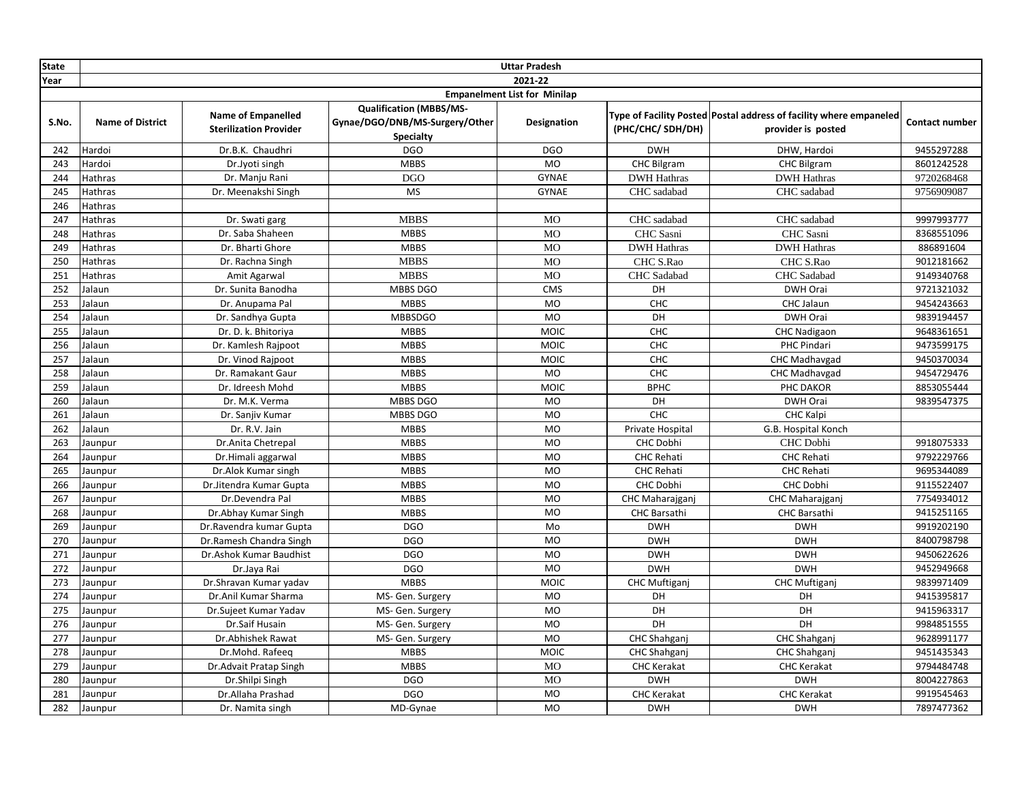| <b>State</b> |                                     |                                                            |                                                                               | <b>Uttar Pradesh</b> |                      |                                                                                          |                       |  |  |
|--------------|-------------------------------------|------------------------------------------------------------|-------------------------------------------------------------------------------|----------------------|----------------------|------------------------------------------------------------------------------------------|-----------------------|--|--|
| Year         | 2021-22                             |                                                            |                                                                               |                      |                      |                                                                                          |                       |  |  |
|              | <b>Empanelment List for Minilap</b> |                                                            |                                                                               |                      |                      |                                                                                          |                       |  |  |
| S.No.        | <b>Name of District</b>             | <b>Name of Empanelled</b><br><b>Sterilization Provider</b> | <b>Qualification (MBBS/MS-</b><br>Gynae/DGO/DNB/MS-Surgery/Other<br>Specialty | <b>Designation</b>   | (PHC/CHC/ SDH/DH)    | Type of Facility Posted Postal address of facility where empaneled<br>provider is posted | <b>Contact number</b> |  |  |
| 242          | Hardoi                              | Dr.B.K. Chaudhri                                           | <b>DGO</b>                                                                    | <b>DGO</b>           | <b>DWH</b>           | DHW, Hardoi                                                                              | 9455297288            |  |  |
| 243          | Hardoi                              | Dr.Jyoti singh                                             | <b>MBBS</b>                                                                   | <b>MO</b>            | CHC Bilgram          | <b>CHC Bilgram</b>                                                                       | 8601242528            |  |  |
| 244          | <b>Hathras</b>                      | Dr. Manju Rani                                             | <b>DGO</b>                                                                    | <b>GYNAE</b>         | <b>DWH Hathras</b>   | <b>DWH Hathras</b>                                                                       | 9720268468            |  |  |
| 245          | Hathras                             | Dr. Meenakshi Singh                                        | <b>MS</b>                                                                     | <b>GYNAE</b>         | CHC sadabad          | CHC sadabad                                                                              | 9756909087            |  |  |
| 246          | Hathras                             |                                                            |                                                                               |                      |                      |                                                                                          |                       |  |  |
| 247          | Hathras                             | Dr. Swati garg                                             | <b>MBBS</b>                                                                   | <b>MO</b>            | CHC sadabad          | CHC sadabad                                                                              | 9997993777            |  |  |
| 248          | Hathras                             | Dr. Saba Shaheen                                           | <b>MBBS</b>                                                                   | <b>MO</b>            | CHC Sasni            | CHC Sasni                                                                                | 8368551096            |  |  |
| 249          | Hathras                             | Dr. Bharti Ghore                                           | <b>MBBS</b>                                                                   | <b>MO</b>            | <b>DWH Hathras</b>   | <b>DWH Hathras</b>                                                                       | 886891604             |  |  |
| 250          | Hathras                             | Dr. Rachna Singh                                           | <b>MBBS</b>                                                                   | <b>MO</b>            | CHC S.Rao            | CHC S.Rao                                                                                | 9012181662            |  |  |
| 251          | Hathras                             | Amit Agarwal                                               | <b>MBBS</b>                                                                   | <b>MO</b>            | CHC Sadabad          | CHC Sadabad                                                                              | 9149340768            |  |  |
| 252          | Jalaun                              | Dr. Sunita Banodha                                         | MBBS DGO                                                                      | <b>CMS</b>           | DH                   | DWH Orai                                                                                 | 9721321032            |  |  |
| 253          | Jalaun                              | Dr. Anupama Pal                                            | <b>MBBS</b>                                                                   | <b>MO</b>            | CHC                  | CHC Jalaun                                                                               | 9454243663            |  |  |
| 254          | Jalaun                              | Dr. Sandhya Gupta                                          | <b>MBBSDGO</b>                                                                | MO                   | DH                   | DWH Orai                                                                                 | 9839194457            |  |  |
| 255          | Jalaun                              | Dr. D. k. Bhitoriya                                        | <b>MBBS</b>                                                                   | <b>MOIC</b>          | <b>CHC</b>           | <b>CHC Nadigaon</b>                                                                      | 9648361651            |  |  |
| 256          | Jalaun                              | Dr. Kamlesh Rajpoot                                        | <b>MBBS</b>                                                                   | <b>MOIC</b>          | CHC                  | PHC Pindari                                                                              | 9473599175            |  |  |
| 257          | Jalaun                              | Dr. Vinod Rajpoot                                          | <b>MBBS</b>                                                                   | <b>MOIC</b>          | CHC                  | CHC Madhavgad                                                                            | 9450370034            |  |  |
| 258          | Jalaun                              | Dr. Ramakant Gaur                                          | <b>MBBS</b>                                                                   | <b>MO</b>            | CHC                  | CHC Madhavgad                                                                            | 9454729476            |  |  |
| 259          | Jalaun                              | Dr. Idreesh Mohd                                           | <b>MBBS</b>                                                                   | MOIC                 | <b>BPHC</b>          | PHC DAKOR                                                                                | 8853055444            |  |  |
| 260          | Jalaun                              | Dr. M.K. Verma                                             | MBBS DGO                                                                      | MO                   | DH                   | DWH Orai                                                                                 | 9839547375            |  |  |
| 261          | Jalaun                              | Dr. Sanjiv Kumar                                           | MBBS DGO                                                                      | <b>MO</b>            | CHC                  | <b>CHC Kalpi</b>                                                                         |                       |  |  |
| 262          | Jalaun                              | Dr. R.V. Jain                                              | <b>MBBS</b>                                                                   | <b>MO</b>            | Private Hospital     | G.B. Hospital Konch                                                                      |                       |  |  |
| 263          | Jaunpur                             | Dr.Anita Chetrepal                                         | <b>MBBS</b>                                                                   | <b>MO</b>            | CHC Dobhi            | CHC Dobhi                                                                                | 9918075333            |  |  |
| 264          | Jaunpur                             | Dr.Himali aggarwal                                         | <b>MBBS</b>                                                                   | <b>MO</b>            | <b>CHC Rehati</b>    | <b>CHC Rehati</b>                                                                        | 9792229766            |  |  |
| 265          | Jaunpur                             | Dr.Alok Kumar singh                                        | <b>MBBS</b>                                                                   | <b>MO</b>            | <b>CHC Rehati</b>    | <b>CHC Rehati</b>                                                                        | 9695344089            |  |  |
| 266          | Jaunpur                             | Dr.Jitendra Kumar Gupta                                    | <b>MBBS</b>                                                                   | <b>MO</b>            | CHC Dobhi            | CHC Dobhi                                                                                | 9115522407            |  |  |
| 267          | Jaunpur                             | Dr.Devendra Pal                                            | <b>MBBS</b>                                                                   | <b>MO</b>            | CHC Maharajganj      | CHC Maharajganj                                                                          | 7754934012            |  |  |
| 268          | Jaunpur                             | Dr.Abhay Kumar Singh                                       | <b>MBBS</b>                                                                   | <b>MO</b>            | <b>CHC Barsathi</b>  | <b>CHC Barsathi</b>                                                                      | 9415251165            |  |  |
| 269          | Jaunpur                             | Dr. Ravendra kumar Gupta                                   | <b>DGO</b>                                                                    | Mo                   | <b>DWH</b>           | <b>DWH</b>                                                                               | 9919202190            |  |  |
| 270          | Jaunpur                             | Dr.Ramesh Chandra Singh                                    | <b>DGO</b>                                                                    | <b>MO</b>            | <b>DWH</b>           | <b>DWH</b>                                                                               | 8400798798            |  |  |
| 271          | Jaunpur                             | Dr.Ashok Kumar Baudhist                                    | <b>DGO</b>                                                                    | <b>MO</b>            | <b>DWH</b>           | <b>DWH</b>                                                                               | 9450622626            |  |  |
| 272          | Jaunpur                             | Dr.Jaya Rai                                                | <b>DGO</b>                                                                    | <b>MO</b>            | <b>DWH</b>           | <b>DWH</b>                                                                               | 9452949668            |  |  |
| 273          | Jaunpur                             | Dr.Shravan Kumar yadav                                     | <b>MBBS</b>                                                                   | <b>MOIC</b>          | <b>CHC Muftiganj</b> | <b>CHC Muftiganj</b>                                                                     | 9839971409            |  |  |
| 274          | Jaunpur                             | Dr.Anil Kumar Sharma                                       | MS- Gen. Surgery                                                              | MO                   | DH                   | DH                                                                                       | 9415395817            |  |  |
| 275          | Jaunpur                             | Dr.Sujeet Kumar Yadav                                      | MS- Gen. Surgery                                                              | <b>MO</b>            | DH                   | DH                                                                                       | 9415963317            |  |  |
| 276          | Jaunpur                             | Dr.Saif Husain                                             | MS- Gen. Surgery                                                              | <b>MO</b>            | DH                   | DH                                                                                       | 9984851555            |  |  |
| 277          | Jaunpur                             | Dr.Abhishek Rawat                                          | MS- Gen. Surgery                                                              | <b>MO</b>            | CHC Shahganj         | CHC Shahganj                                                                             | 9628991177            |  |  |
| 278          | Jaunpur                             | Dr.Mohd. Rafeeq                                            | <b>MBBS</b>                                                                   | MOIC                 | CHC Shahganj         | CHC Shahganj                                                                             | 9451435343            |  |  |
| 279          | Jaunpur                             | Dr.Advait Pratap Singh                                     | <b>MBBS</b>                                                                   | <b>MO</b>            | <b>CHC Kerakat</b>   | <b>CHC Kerakat</b>                                                                       | 9794484748            |  |  |
| 280          | Jaunpur                             | Dr.Shilpi Singh                                            | <b>DGO</b>                                                                    | <b>MO</b>            | <b>DWH</b>           | <b>DWH</b>                                                                               | 8004227863            |  |  |
| 281          | Jaunpur                             | Dr.Allaha Prashad                                          | <b>DGO</b>                                                                    | <b>MO</b>            | <b>CHC Kerakat</b>   | <b>CHC Kerakat</b>                                                                       | 9919545463            |  |  |
| 282          | Jaunpur                             | Dr. Namita singh                                           | MD-Gynae                                                                      | <b>MO</b>            | <b>DWH</b>           | <b>DWH</b>                                                                               | 7897477362            |  |  |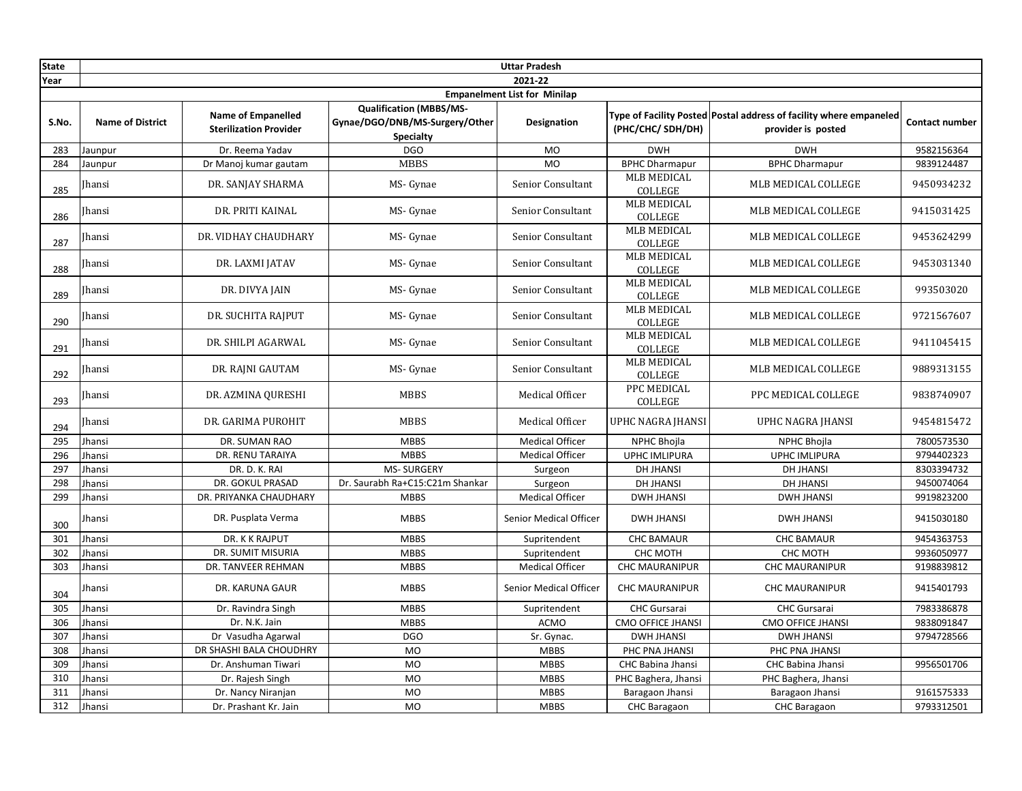| <b>State</b> |                                     |                                                            |                                                                                      | <b>Uttar Pradesh</b>     |                                      |                                                                                          |                       |  |  |
|--------------|-------------------------------------|------------------------------------------------------------|--------------------------------------------------------------------------------------|--------------------------|--------------------------------------|------------------------------------------------------------------------------------------|-----------------------|--|--|
| Year         |                                     |                                                            |                                                                                      | 2021-22                  |                                      |                                                                                          |                       |  |  |
|              | <b>Empanelment List for Minilap</b> |                                                            |                                                                                      |                          |                                      |                                                                                          |                       |  |  |
| S.No.        | <b>Name of District</b>             | <b>Name of Empanelled</b><br><b>Sterilization Provider</b> | <b>Qualification (MBBS/MS-</b><br>Gynae/DGO/DNB/MS-Surgery/Other<br><b>Specialty</b> | <b>Designation</b>       | (PHC/CHC/ SDH/DH)                    | Type of Facility Posted Postal address of facility where empaneled<br>provider is posted | <b>Contact number</b> |  |  |
| 283          | Jaunpur                             | Dr. Reema Yadav                                            | <b>DGO</b>                                                                           | <b>MO</b>                | <b>DWH</b>                           | <b>DWH</b>                                                                               | 9582156364            |  |  |
| 284          | Jaunpur                             | Dr Manoj kumar gautam                                      | <b>MBBS</b>                                                                          | <b>MO</b>                | <b>BPHC Dharmapur</b>                | <b>BPHC Dharmapur</b>                                                                    | 9839124487            |  |  |
| 285          | Jhansi                              | DR. SANJAY SHARMA                                          | MS- Gynae                                                                            | Senior Consultant        | <b>MLB MEDICAL</b><br>COLLEGE        | MLB MEDICAL COLLEGE                                                                      | 9450934232            |  |  |
| 286          | Jhansi                              | DR. PRITI KAINAL                                           | MS- Gynae                                                                            | <b>Senior Consultant</b> | <b>MLB MEDICAL</b><br>COLLEGE        | MLB MEDICAL COLLEGE                                                                      | 9415031425            |  |  |
| 287          | <b>Ihansi</b>                       | DR. VIDHAY CHAUDHARY                                       | MS- Gynae                                                                            | Senior Consultant        | <b>MLB MEDICAL</b><br>COLLEGE        | MLB MEDICAL COLLEGE                                                                      | 9453624299            |  |  |
| 288          | <b>Ihansi</b>                       | DR. LAXMI JATAV                                            | MS- Gynae                                                                            | Senior Consultant        | <b>MLB MEDICAL</b><br>COLLEGE        | MLB MEDICAL COLLEGE                                                                      | 9453031340            |  |  |
| 289          | <b>Ihansi</b>                       | DR. DIVYA JAIN                                             | MS- Gynae                                                                            | Senior Consultant        | <b>MLB MEDICAL</b><br><b>COLLEGE</b> | MLB MEDICAL COLLEGE                                                                      | 993503020             |  |  |
| 290          | <b>Ihansi</b>                       | DR. SUCHITA RAIPUT                                         | MS- Gynae                                                                            | Senior Consultant        | <b>MLB MEDICAL</b><br>COLLEGE        | MLB MEDICAL COLLEGE                                                                      | 9721567607            |  |  |
| 291          | Jhansi                              | DR. SHILPI AGARWAL                                         | MS- Gynae                                                                            | Senior Consultant        | <b>MLB MEDICAL</b><br><b>COLLEGE</b> | MLB MEDICAL COLLEGE                                                                      | 9411045415            |  |  |
| 292          | <b>Ihansi</b>                       | DR. RAINI GAUTAM                                           | MS- Gynae                                                                            | Senior Consultant        | <b>MLB MEDICAL</b><br>COLLEGE        | MLB MEDICAL COLLEGE                                                                      | 9889313155            |  |  |
| 293          | Jhansi                              | DR. AZMINA QURESHI                                         | <b>MBBS</b>                                                                          | Medical Officer          | PPC MEDICAL<br>COLLEGE               | PPC MEDICAL COLLEGE                                                                      | 9838740907            |  |  |
| 294          | <b>Ihansi</b>                       | DR. GARIMA PUROHIT                                         | <b>MBBS</b>                                                                          | Medical Officer          | UPHC NAGRA JHANSI                    | UPHC NAGRA JHANSI                                                                        | 9454815472            |  |  |
| 295          | Jhansi                              | DR. SUMAN RAO                                              | <b>MBBS</b>                                                                          | <b>Medical Officer</b>   | NPHC Bhojla                          | <b>NPHC Bhojla</b>                                                                       | 7800573530            |  |  |
| 296          | Jhansi                              | DR. RENU TARAIYA                                           | <b>MBBS</b>                                                                          | <b>Medical Officer</b>   | <b>UPHC IMLIPURA</b>                 | <b>UPHC IMLIPURA</b>                                                                     | 9794402323            |  |  |
| 297          | Jhansi                              | DR. D. K. RAI                                              | <b>MS-SURGERY</b>                                                                    | Surgeon                  | <b>DH JHANSI</b>                     | <b>DH JHANSI</b>                                                                         | 8303394732            |  |  |
| 298          | <b>Ihansi</b>                       | <b>DR. GOKUL PRASAD</b>                                    | Dr. Saurabh Ra+C15:C21m Shankar                                                      | Surgeon                  | <b>DH JHANSI</b>                     | <b>DH JHANSI</b>                                                                         | 9450074064            |  |  |
| 299          | <b>Jhansi</b>                       | DR. PRIYANKA CHAUDHARY                                     | <b>MBBS</b>                                                                          | <b>Medical Officer</b>   | <b>DWH JHANSI</b>                    | <b>DWH JHANSI</b>                                                                        | 9919823200            |  |  |
| 300          | <b>Jhansi</b>                       | DR. Pusplata Verma                                         | <b>MBBS</b>                                                                          | Senior Medical Officer   | <b>DWH JHANSI</b>                    | <b>DWH JHANSI</b>                                                                        | 9415030180            |  |  |
| 301          | Jhansi                              | DR. K K RAJPUT                                             | <b>MBBS</b>                                                                          | Supritendent             | <b>CHC BAMAUR</b>                    | <b>CHC BAMAUR</b>                                                                        | 9454363753            |  |  |
| 302          | Jhansi                              | <b>DR. SUMIT MISURIA</b>                                   | <b>MBBS</b>                                                                          | Supritendent             | CHC MOTH                             | CHC MOTH                                                                                 | 9936050977            |  |  |
| 303          | Jhansi                              | DR. TANVEER REHMAN                                         | <b>MBBS</b>                                                                          | <b>Medical Officer</b>   | <b>CHC MAURANIPUR</b>                | <b>CHC MAURANIPUR</b>                                                                    | 9198839812            |  |  |
| 304          | <b>Jhansi</b>                       | DR. KARUNA GAUR                                            | <b>MBBS</b>                                                                          | Senior Medical Officer   | <b>CHC MAURANIPUR</b>                | <b>CHC MAURANIPUR</b>                                                                    | 9415401793            |  |  |
| 305          | Jhansi                              | Dr. Ravindra Singh                                         | <b>MBBS</b>                                                                          | Supritendent             | CHC Gursarai                         | CHC Gursarai                                                                             | 7983386878            |  |  |
| 306          | Jhansi                              | Dr. N.K. Jain                                              | <b>MBBS</b>                                                                          | <b>ACMO</b>              | <b>CMO OFFICE JHANSI</b>             | <b>CMO OFFICE JHANSI</b>                                                                 | 9838091847            |  |  |
| 307          | Jhansi                              | Dr Vasudha Agarwal                                         | <b>DGO</b>                                                                           | Sr. Gynac.               | <b>DWH JHANSI</b>                    | <b>DWH JHANSI</b>                                                                        | 9794728566            |  |  |
| 308          | Jhansi                              | DR SHASHI BALA CHOUDHRY                                    | <b>MO</b>                                                                            | <b>MBBS</b>              | PHC PNA JHANSI                       | PHC PNA JHANSI                                                                           |                       |  |  |
| 309          | <b>Jhansi</b>                       | Dr. Anshuman Tiwari                                        | <b>MO</b>                                                                            | <b>MBBS</b>              | CHC Babina Jhansi                    | CHC Babina Jhansi                                                                        | 9956501706            |  |  |
| 310          | Jhansi                              | Dr. Rajesh Singh                                           | <b>MO</b>                                                                            | <b>MBBS</b>              | PHC Baghera, Jhansi                  | PHC Baghera, Jhansi                                                                      |                       |  |  |
| 311          | Jhansi                              | Dr. Nancy Niranjan                                         | <b>MO</b>                                                                            | <b>MBBS</b>              | Baragaon Jhansi                      | Baragaon Jhansi                                                                          | 9161575333            |  |  |
| 312          | Jhansi                              | Dr. Prashant Kr. Jain                                      | <b>MO</b>                                                                            | <b>MBBS</b>              | CHC Baragaon                         | <b>CHC Baragaon</b>                                                                      | 9793312501            |  |  |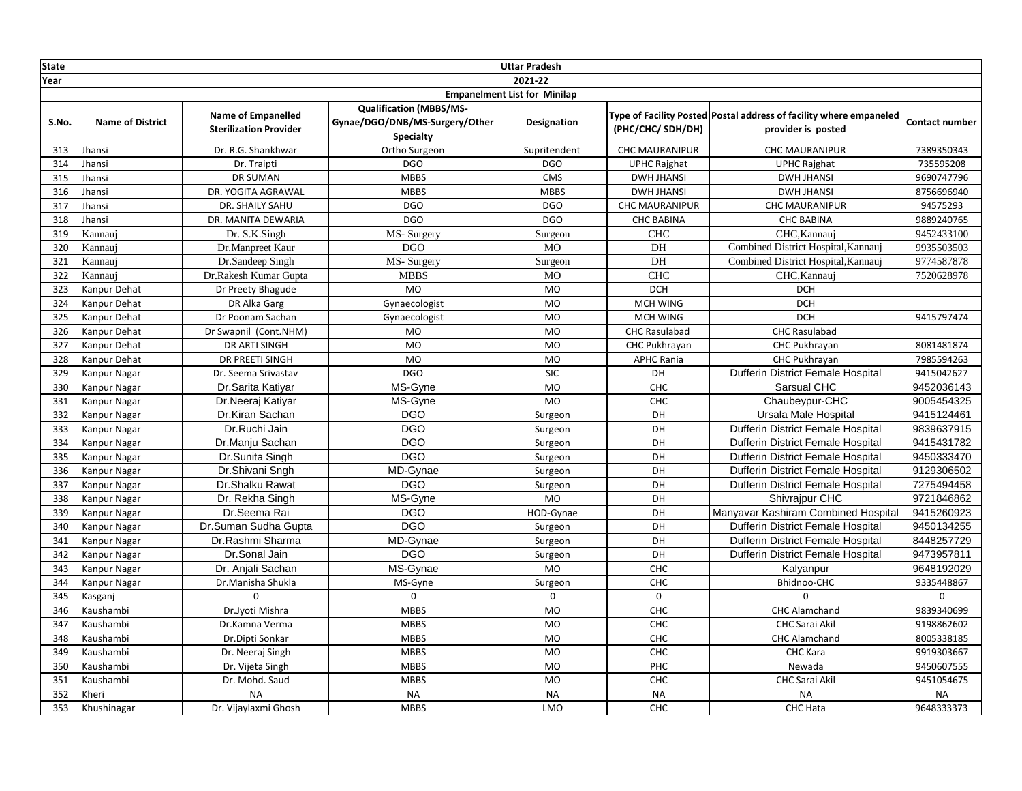| <b>State</b> |                         |                                                            |                                                                                      | <b>Uttar Pradesh</b>                |                       |                                                                                          |                       |
|--------------|-------------------------|------------------------------------------------------------|--------------------------------------------------------------------------------------|-------------------------------------|-----------------------|------------------------------------------------------------------------------------------|-----------------------|
| Year         |                         |                                                            |                                                                                      | 2021-22                             |                       |                                                                                          |                       |
|              |                         |                                                            |                                                                                      | <b>Empanelment List for Minilap</b> |                       |                                                                                          |                       |
| S.No.        | <b>Name of District</b> | <b>Name of Empanelled</b><br><b>Sterilization Provider</b> | <b>Qualification (MBBS/MS-</b><br>Gynae/DGO/DNB/MS-Surgery/Other<br><b>Specialty</b> | Designation                         | (PHC/CHC/ SDH/DH)     | Type of Facility Posted Postal address of facility where empaneled<br>provider is posted | <b>Contact number</b> |
| 313          | Jhansi                  | Dr. R.G. Shankhwar                                         | Ortho Surgeon                                                                        | Supritendent                        | CHC MAURANIPUR        | <b>CHC MAURANIPUR</b>                                                                    | 7389350343            |
| 314          | Jhansi                  | Dr. Traipti                                                | <b>DGO</b>                                                                           | <b>DGO</b>                          | <b>UPHC Rajghat</b>   | <b>UPHC Rajghat</b>                                                                      | 735595208             |
| 315          | Jhansi                  | <b>DR SUMAN</b>                                            | <b>MBBS</b>                                                                          | <b>CMS</b>                          | <b>DWH JHANSI</b>     | <b>DWH JHANSI</b>                                                                        | 9690747796            |
| 316          | Jhansi                  | DR. YOGITA AGRAWAL                                         | <b>MBBS</b>                                                                          | <b>MBBS</b>                         | <b>DWH JHANSI</b>     | <b>DWH JHANSI</b>                                                                        | 8756696940            |
| 317          | <b>Ihansi</b>           | DR. SHAILY SAHU                                            | <b>DGO</b>                                                                           | <b>DGO</b>                          | <b>CHC MAURANIPUR</b> | <b>CHC MAURANIPUR</b>                                                                    | 94575293              |
| 318          | <b>Ihansi</b>           | DR. MANITA DEWARIA                                         | <b>DGO</b>                                                                           | <b>DGO</b>                          | <b>CHC BABINA</b>     | <b>CHC BABINA</b>                                                                        | 9889240765            |
| 319          | Kannauj                 | Dr. S.K.Singh                                              | MS-Surgery                                                                           | Surgeon                             | <b>CHC</b>            | CHC, Kannauj                                                                             | 9452433100            |
| 320          | Kannauj                 | Dr.Manpreet Kaur                                           | <b>DGO</b>                                                                           | <b>MO</b>                           | DH                    | Combined District Hospital, Kannauj                                                      | 9935503503            |
| 321          | Kannaui                 | Dr.Sandeep Singh                                           | MS-Surgery                                                                           | Surgeon                             | DH                    | Combined District Hospital, Kannauj                                                      | 9774587878            |
| 322          | Kannaui                 | Dr.Rakesh Kumar Gupta                                      | <b>MBBS</b>                                                                          | <b>MO</b>                           | <b>CHC</b>            | CHC, Kannauj                                                                             | 7520628978            |
| 323          | Kanpur Dehat            | Dr Preety Bhagude                                          | <b>MO</b>                                                                            | <b>MO</b>                           | <b>DCH</b>            | <b>DCH</b>                                                                               |                       |
| 324          | Kanpur Dehat            | DR Alka Garg                                               | Gynaecologist                                                                        | <b>MO</b>                           | MCH WING              | <b>DCH</b>                                                                               |                       |
| 325          | Kanpur Dehat            | Dr Poonam Sachan                                           | Gynaecologist                                                                        | <b>MO</b>                           | <b>MCH WING</b>       | <b>DCH</b>                                                                               | 9415797474            |
| 326          | Kanpur Dehat            | Dr Swapnil (Cont.NHM)                                      | MO                                                                                   | <b>MO</b>                           | <b>CHC Rasulabad</b>  | <b>CHC Rasulabad</b>                                                                     |                       |
| 327          | Kanpur Dehat            | DR ARTI SINGH                                              | <b>MO</b>                                                                            | <b>MO</b>                           | CHC Pukhrayan         | CHC Pukhrayan                                                                            | 8081481874            |
| 328          | Kanpur Dehat            | DR PREETI SINGH                                            | MO                                                                                   | <b>MO</b>                           | <b>APHC Rania</b>     | CHC Pukhrayan                                                                            | 7985594263            |
| 329          | Kanpur Nagar            | Dr. Seema Srivastav                                        | <b>DGO</b>                                                                           | <b>SIC</b>                          | DH                    | Dufferin District Female Hospital                                                        | 9415042627            |
| 330          | Kanpur Nagar            | Dr.Sarita Katiyar                                          | MS-Gyne                                                                              | <b>MO</b>                           | CHC                   | Sarsual CHC                                                                              | 9452036143            |
| 331          | Kanpur Nagar            | Dr.Neeraj Katiyar                                          | MS-Gyne                                                                              | MO                                  | CHC                   | Chaubeypur-CHC                                                                           | 9005454325            |
| 332          | Kanpur Nagar            | Dr.Kiran Sachan                                            | <b>DGO</b>                                                                           | Surgeon                             | DH                    | Ursala Male Hospital                                                                     | 9415124461            |
| 333          | Kanpur Nagar            | Dr.Ruchi Jain                                              | <b>DGO</b>                                                                           | Surgeon                             | DH                    | Dufferin District Female Hospital                                                        | 9839637915            |
| 334          | Kanpur Nagar            | Dr.Manju Sachan                                            | <b>DGO</b>                                                                           | Surgeon                             | DH                    | Dufferin District Female Hospital                                                        | 9415431782            |
| 335          | Kanpur Nagar            | Dr.Sunita Singh                                            | <b>DGO</b>                                                                           | Surgeon                             | DH                    | Dufferin District Female Hospital                                                        | 9450333470            |
| 336          | Kanpur Nagar            | Dr.Shivani Sngh                                            | MD-Gynae                                                                             | Surgeon                             | DH                    | Dufferin District Female Hospital                                                        | 9129306502            |
| 337          | Kanpur Nagar            | Dr.Shalku Rawat                                            | <b>DGO</b>                                                                           | Surgeon                             | DH                    | Dufferin District Female Hospital                                                        | 7275494458            |
| 338          | Kanpur Nagar            | Dr. Rekha Singh                                            | MS-Gyne                                                                              | <b>MO</b>                           | DH                    | Shivrajpur CHC                                                                           | 9721846862            |
| 339          | Kanpur Nagar            | Dr.Seema Rai                                               | <b>DGO</b>                                                                           | HOD-Gynae                           | DH                    | Manyavar Kashiram Combined Hospital                                                      | 9415260923            |
| 340          | <b>Kanpur Nagar</b>     | Dr.Suman Sudha Gupta                                       | <b>DGO</b>                                                                           | Surgeon                             | DH                    | Dufferin District Female Hospital                                                        | 9450134255            |
| 341          | Kanpur Nagar            | Dr.Rashmi Sharma                                           | MD-Gynae                                                                             | Surgeon                             | DH                    | Dufferin District Female Hospital                                                        | 8448257729            |
| 342          | Kanpur Nagar            | Dr.Sonal Jain                                              | <b>DGO</b>                                                                           | Surgeon                             | DH                    | Dufferin District Female Hospital                                                        | 9473957811            |
| 343          | Kanpur Nagar            | Dr. Anjali Sachan                                          | MS-Gynae                                                                             | MO                                  | CHC                   | Kalyanpur                                                                                | 9648192029            |
| 344          | Kanpur Nagar            | Dr.Manisha Shukla                                          | MS-Gyne                                                                              | Surgeon                             | CHC                   | Bhidnoo-CHC                                                                              | 9335448867            |
| 345          | Kasganj                 | $\Omega$                                                   | $\mathbf 0$                                                                          | $\mathbf 0$                         | 0                     | $\Omega$                                                                                 | $\mathbf 0$           |
| 346          | Kaushambi               | Dr.Jyoti Mishra                                            | <b>MBBS</b>                                                                          | <b>MO</b>                           | CHC                   | <b>CHC Alamchand</b>                                                                     | 9839340699            |
| 347          | Kaushambi               | Dr.Kamna Verma                                             | <b>MBBS</b>                                                                          | <b>MO</b>                           | CHC                   | <b>CHC Sarai Akil</b>                                                                    | 9198862602            |
| 348          | Kaushambi               | Dr.Dipti Sonkar                                            | <b>MBBS</b>                                                                          | <b>MO</b>                           | CHC                   | <b>CHC Alamchand</b>                                                                     | 8005338185            |
| 349          | Kaushambi               | Dr. Neeraj Singh                                           | <b>MBBS</b>                                                                          | MO                                  | CHC                   | CHC Kara                                                                                 | 9919303667            |
| 350          | Kaushambi               | Dr. Vijeta Singh                                           | <b>MBBS</b>                                                                          | <b>MO</b>                           | PHC                   | Newada                                                                                   | 9450607555            |
| 351          | Kaushambi               | Dr. Mohd. Saud                                             | <b>MBBS</b>                                                                          | <b>MO</b>                           | CHC                   | CHC Sarai Akil                                                                           | 9451054675            |
| 352          | Kheri                   | <b>NA</b>                                                  | <b>NA</b>                                                                            | <b>NA</b>                           | <b>NA</b>             | <b>NA</b>                                                                                | <b>NA</b>             |
| 353          | Khushinagar             | Dr. Vijaylaxmi Ghosh                                       | <b>MBBS</b>                                                                          | LMO                                 | CHC                   | <b>CHC Hata</b>                                                                          | 9648333373            |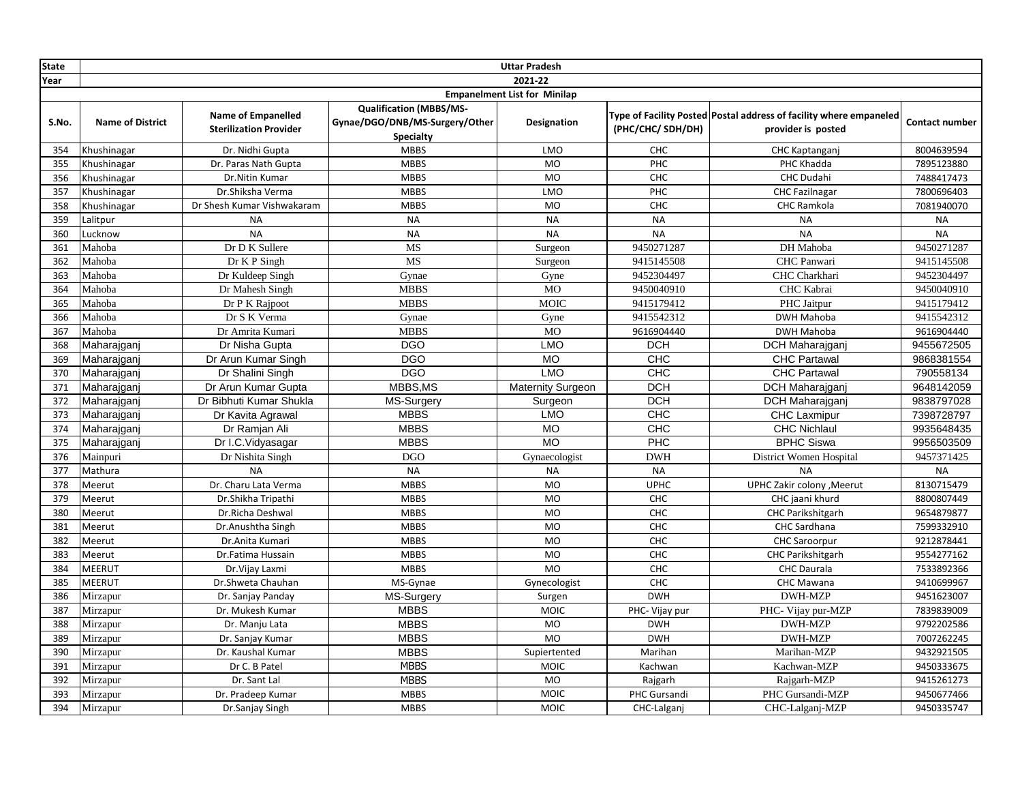| <b>State</b> |                                     |                                                            |                                                                                      | <b>Uttar Pradesh</b>     |                   |                                                                                          |                       |  |  |
|--------------|-------------------------------------|------------------------------------------------------------|--------------------------------------------------------------------------------------|--------------------------|-------------------|------------------------------------------------------------------------------------------|-----------------------|--|--|
| Year         |                                     |                                                            |                                                                                      | 2021-22                  |                   |                                                                                          |                       |  |  |
|              | <b>Empanelment List for Minilap</b> |                                                            |                                                                                      |                          |                   |                                                                                          |                       |  |  |
| S.No.        | <b>Name of District</b>             | <b>Name of Empanelled</b><br><b>Sterilization Provider</b> | <b>Qualification (MBBS/MS-</b><br>Gynae/DGO/DNB/MS-Surgery/Other<br><b>Specialty</b> | Designation              | (PHC/CHC/ SDH/DH) | Type of Facility Posted Postal address of facility where empaneled<br>provider is posted | <b>Contact number</b> |  |  |
| 354          | Khushinagar                         | Dr. Nidhi Gupta                                            | <b>MBBS</b>                                                                          | <b>LMO</b>               | CHC               | CHC Kaptanganj                                                                           | 8004639594            |  |  |
| 355          | Khushinagar                         | Dr. Paras Nath Gupta                                       | <b>MBBS</b>                                                                          | <b>MO</b>                | PHC               | PHC Khadda                                                                               | 7895123880            |  |  |
| 356          | Khushinagar                         | Dr.Nitin Kumar                                             | <b>MBBS</b>                                                                          | <b>MO</b>                | <b>CHC</b>        | <b>CHC Dudahi</b>                                                                        | 7488417473            |  |  |
| 357          | Khushinagar                         | Dr.Shiksha Verma                                           | <b>MBBS</b>                                                                          | <b>LMO</b>               | PHC               | <b>CHC Fazilnagar</b>                                                                    | 7800696403            |  |  |
| 358          | Khushinagar                         | Dr Shesh Kumar Vishwakaram                                 | <b>MBBS</b>                                                                          | <b>MO</b>                | <b>CHC</b>        | CHC Ramkola                                                                              | 7081940070            |  |  |
| 359          | Lalitpur                            | <b>NA</b>                                                  | <b>NA</b>                                                                            | <b>NA</b>                | <b>NA</b>         | <b>NA</b>                                                                                | <b>NA</b>             |  |  |
| 360          | Lucknow                             | <b>NA</b>                                                  | <b>NA</b>                                                                            | <b>NA</b>                | <b>NA</b>         | <b>NA</b>                                                                                | <b>NA</b>             |  |  |
| 361          | Mahoba                              | Dr D K Sullere                                             | MS                                                                                   | Surgeon                  | 9450271287        | DH Mahoba                                                                                | 9450271287            |  |  |
| 362          | Mahoba                              | Dr K P Singh                                               | <b>MS</b>                                                                            | Surgeon                  | 9415145508        | CHC Panwari                                                                              | 9415145508            |  |  |
| 363          | Mahoba                              | Dr Kuldeep Singh                                           | Gynae                                                                                | Gyne                     | 9452304497        | CHC Charkhari                                                                            | 9452304497            |  |  |
| 364          | Mahoba                              | Dr Mahesh Singh                                            | <b>MBBS</b>                                                                          | <b>MO</b>                | 9450040910        | CHC Kabrai                                                                               | 9450040910            |  |  |
| 365          | Mahoba                              | Dr P K Rajpoot                                             | <b>MBBS</b>                                                                          | <b>MOIC</b>              | 9415179412        | PHC Jaitpur                                                                              | 9415179412            |  |  |
| 366          | Mahoba                              | Dr S K Verma                                               | Gynae                                                                                | Gyne                     | 9415542312        | DWH Mahoba                                                                               | 9415542312            |  |  |
| 367          | Mahoba                              | Dr Amrita Kumari                                           | <b>MBBS</b>                                                                          | <b>MO</b>                | 9616904440        | DWH Mahoba                                                                               | 9616904440            |  |  |
| 368          | Maharajganj                         | Dr Nisha Gupta                                             | <b>DGO</b>                                                                           | <b>LMO</b>               | <b>DCH</b>        | DCH Maharajganj                                                                          | 9455672505            |  |  |
| 369          | Maharajganj                         | Dr Arun Kumar Singh                                        | <b>DGO</b>                                                                           | <b>MO</b>                | <b>CHC</b>        | <b>CHC Partawal</b>                                                                      | 9868381554            |  |  |
| 370          | Maharajganj                         | Dr Shalini Singh                                           | <b>DGO</b>                                                                           | <b>LMO</b>               | CHC               | <b>CHC Partawal</b>                                                                      | 790558134             |  |  |
| 371          | Maharajganj                         | Dr Arun Kumar Gupta                                        | MBBS, MS                                                                             | <b>Maternity Surgeon</b> | <b>DCH</b>        | DCH Maharajganj                                                                          | 9648142059            |  |  |
| 372          | Maharajganj                         | Dr Bibhuti Kumar Shukla                                    | MS-Surgery                                                                           | Surgeon                  | DCH               | DCH Maharajganj                                                                          | 9838797028            |  |  |
| 373          | Maharajganj                         | Dr Kavita Agrawal                                          | <b>MBBS</b>                                                                          | <b>LMO</b>               | CHC               | <b>CHC Laxmipur</b>                                                                      | 7398728797            |  |  |
| 374          | Maharajganj                         | Dr Ramjan Ali                                              | <b>MBBS</b>                                                                          | <b>MO</b>                | CHC               | <b>CHC Nichlaul</b>                                                                      | 9935648435            |  |  |
| 375          | Maharajganj                         | Dr I.C. Vidyasagar                                         | <b>MBBS</b>                                                                          | <b>MO</b>                | PHC               | <b>BPHC Siswa</b>                                                                        | 9956503509            |  |  |
| 376          | Mainpuri                            | Dr Nishita Singh                                           | <b>DGO</b>                                                                           | Gynaecologist            | <b>DWH</b>        | District Women Hospital                                                                  | 9457371425            |  |  |
| 377          | Mathura                             | <b>NA</b>                                                  | <b>NA</b>                                                                            | <b>NA</b>                | <b>NA</b>         | <b>NA</b>                                                                                | <b>NA</b>             |  |  |
| 378          | Meerut                              | Dr. Charu Lata Verma                                       | <b>MBBS</b>                                                                          | <b>MO</b>                | <b>UPHC</b>       | UPHC Zakir colony , Meerut                                                               | 8130715479            |  |  |
| 379          | Meerut                              | Dr.Shikha Tripathi                                         | <b>MBBS</b>                                                                          | MO                       | CHC               | CHC jaani khurd                                                                          | 8800807449            |  |  |
| 380          | Meerut                              | Dr.Richa Deshwal                                           | <b>MBBS</b>                                                                          | <b>MO</b>                | CHC               | <b>CHC Parikshitgarh</b>                                                                 | 9654879877            |  |  |
| 381          | Meerut                              | Dr.Anushtha Singh                                          | <b>MBBS</b>                                                                          | <b>MO</b>                | <b>CHC</b>        | CHC Sardhana                                                                             | 7599332910            |  |  |
| 382          | Meerut                              | Dr.Anita Kumari                                            | <b>MBBS</b>                                                                          | <b>MO</b>                | CHC               | <b>CHC Saroorpur</b>                                                                     | 9212878441            |  |  |
| 383          | Meerut                              | Dr.Fatima Hussain                                          | <b>MBBS</b>                                                                          | MO                       | CHC               | <b>CHC Parikshitgarh</b>                                                                 | 9554277162            |  |  |
| 384          | MEERUT                              | Dr.Vijay Laxmi                                             | <b>MBBS</b>                                                                          | <b>MO</b>                | CHC               | <b>CHC</b> Daurala                                                                       | 7533892366            |  |  |
| 385          | <b>MEERUT</b>                       | Dr.Shweta Chauhan                                          | MS-Gynae                                                                             | Gynecologist             | <b>CHC</b>        | CHC Mawana                                                                               | 9410699967            |  |  |
| 386          | Mirzapur                            | Dr. Sanjay Panday                                          | <b>MS-Surgery</b>                                                                    | Surgen                   | <b>DWH</b>        | DWH-MZP                                                                                  | 9451623007            |  |  |
| 387          | Mirzapur                            | Dr. Mukesh Kumar                                           | <b>MBBS</b>                                                                          | <b>MOIC</b>              | PHC- Vijay pur    | PHC- Vijay pur-MZP                                                                       | 7839839009            |  |  |
| 388          | Mirzapur                            | Dr. Manju Lata                                             | <b>MBBS</b>                                                                          | <b>MO</b>                | <b>DWH</b>        | <b>DWH-MZP</b>                                                                           | 9792202586            |  |  |
| 389          | Mirzapur                            | Dr. Sanjay Kumar                                           | <b>MBBS</b>                                                                          | <b>MO</b>                | <b>DWH</b>        | <b>DWH-MZP</b>                                                                           | 7007262245            |  |  |
| 390          | Mirzapur                            | Dr. Kaushal Kumar                                          | <b>MBBS</b>                                                                          | Supiertented             | Marihan           | Marihan-MZP                                                                              | 9432921505            |  |  |
| 391          | Mirzapur                            | Dr C. B Patel                                              | <b>MBBS</b>                                                                          | <b>MOIC</b>              | Kachwan           | Kachwan-MZP                                                                              | 9450333675            |  |  |
| 392          | Mirzapur                            | Dr. Sant Lal                                               | <b>MBBS</b>                                                                          | <b>MO</b>                | Rajgarh           | Rajgarh-MZP                                                                              | 9415261273            |  |  |
| 393          | Mirzapur                            | Dr. Pradeep Kumar                                          | <b>MBBS</b>                                                                          | <b>MOIC</b>              | PHC Gursandi      | PHC Gursandi-MZP                                                                         | 9450677466            |  |  |
| 394          | Mirzapur                            | Dr.Sanjay Singh                                            | <b>MBBS</b>                                                                          | <b>MOIC</b>              | CHC-Lalganj       | CHC-Lalganj-MZP                                                                          | 9450335747            |  |  |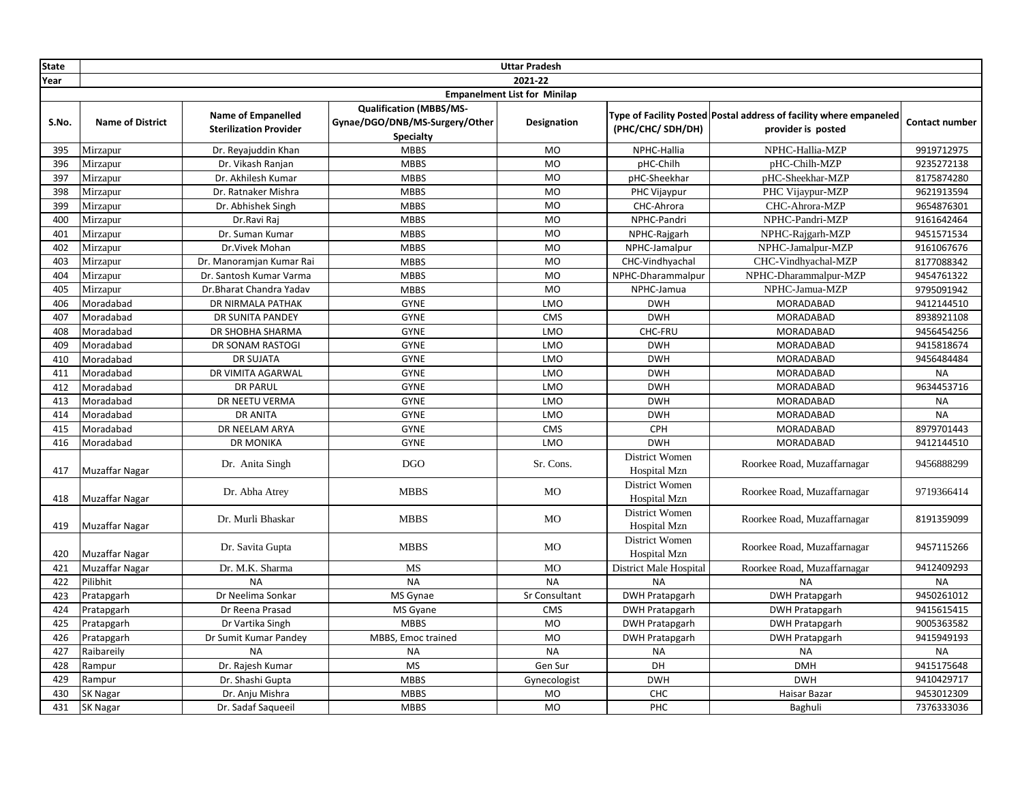| <b>State</b> |                         |                                                            |                                                                                      | <b>Uttar Pradesh</b>                |                                       |                                                                                          |                       |
|--------------|-------------------------|------------------------------------------------------------|--------------------------------------------------------------------------------------|-------------------------------------|---------------------------------------|------------------------------------------------------------------------------------------|-----------------------|
| Year         |                         |                                                            |                                                                                      | 2021-22                             |                                       |                                                                                          |                       |
|              |                         |                                                            |                                                                                      | <b>Empanelment List for Minilap</b> |                                       |                                                                                          |                       |
| S.No.        | <b>Name of District</b> | <b>Name of Empanelled</b><br><b>Sterilization Provider</b> | <b>Qualification (MBBS/MS-</b><br>Gynae/DGO/DNB/MS-Surgery/Other<br><b>Specialty</b> | Designation                         | (PHC/CHC/ SDH/DH)                     | Type of Facility Posted Postal address of facility where empaneled<br>provider is posted | <b>Contact number</b> |
| 395          | Mirzapur                | Dr. Reyajuddin Khan                                        | <b>MBBS</b>                                                                          | MO                                  | NPHC-Hallia                           | NPHC-Hallia-MZP                                                                          | 9919712975            |
| 396          | Mirzapur                | Dr. Vikash Ranjan                                          | <b>MBBS</b>                                                                          | <b>MO</b>                           | pHC-Chilh                             | pHC-Chilh-MZP                                                                            | 9235272138            |
| 397          | Mirzapur                | Dr. Akhilesh Kumar                                         | <b>MBBS</b>                                                                          | <b>MO</b>                           | pHC-Sheekhar                          | pHC-Sheekhar-MZP                                                                         | 8175874280            |
| 398          | Mirzapur                | Dr. Ratnaker Mishra                                        | <b>MBBS</b>                                                                          | MO                                  | PHC Vijaypur                          | PHC Vijaypur-MZP                                                                         | 9621913594            |
| 399          | Mirzapur                | Dr. Abhishek Singh                                         | <b>MBBS</b>                                                                          | <b>MO</b>                           | CHC-Ahrora                            | CHC-Ahrora-MZP                                                                           | 9654876301            |
| 400          | Mirzapur                | Dr.Ravi Raj                                                | <b>MBBS</b>                                                                          | <b>MO</b>                           | NPHC-Pandri                           | NPHC-Pandri-MZP                                                                          | 9161642464            |
| 401          | Mirzapur                | Dr. Suman Kumar                                            | <b>MBBS</b>                                                                          | <b>MO</b>                           | NPHC-Rajgarh                          | NPHC-Rajgarh-MZP                                                                         | 9451571534            |
| 402          | Mirzapur                | Dr.Vivek Mohan                                             | <b>MBBS</b>                                                                          | <b>MO</b>                           | NPHC-Jamalpur                         | NPHC-Jamalpur-MZP                                                                        | 9161067676            |
| 403          | Mirzapur                | Dr. Manoramjan Kumar Rai                                   | <b>MBBS</b>                                                                          | MO                                  | CHC-Vindhyachal                       | CHC-Vindhyachal-MZP                                                                      | 8177088342            |
| 404          | Mirzapur                | Dr. Santosh Kumar Varma                                    | <b>MBBS</b>                                                                          | <b>MO</b>                           | NPHC-Dharammalpur                     | NPHC-Dharammalpur-MZP                                                                    | 9454761322            |
| 405          | Mirzapur                | Dr.Bharat Chandra Yadav                                    | <b>MBBS</b>                                                                          | MO                                  | NPHC-Jamua                            | NPHC-Jamua-MZP                                                                           | 9795091942            |
| 406          | Moradabad               | DR NIRMALA PATHAK                                          | <b>GYNE</b>                                                                          | LMO                                 | <b>DWH</b>                            | MORADABAD                                                                                | 9412144510            |
| 407          | Moradabad               | DR SUNITA PANDEY                                           | <b>GYNE</b>                                                                          | <b>CMS</b>                          | <b>DWH</b>                            | MORADABAD                                                                                | 8938921108            |
| 408          | Moradabad               | DR SHOBHA SHARMA                                           | <b>GYNE</b>                                                                          | LMO                                 | CHC-FRU                               | MORADABAD                                                                                | 9456454256            |
| 409          | Moradabad               | DR SONAM RASTOGI                                           | <b>GYNE</b>                                                                          | LMO                                 | <b>DWH</b>                            | <b>MORADABAD</b>                                                                         | 9415818674            |
| 410          | Moradabad               | <b>DR SUJATA</b>                                           | <b>GYNE</b>                                                                          | LMO                                 | <b>DWH</b>                            | <b>MORADABAD</b>                                                                         | 9456484484            |
| 411          | Moradabad               | DR VIMITA AGARWAL                                          | <b>GYNE</b>                                                                          | LMO                                 | <b>DWH</b>                            | MORADABAD                                                                                | <b>NA</b>             |
| 412          | Moradabad               | <b>DR PARUL</b>                                            | <b>GYNE</b>                                                                          | LMO                                 | <b>DWH</b>                            | MORADABAD                                                                                | 9634453716            |
| 413          | Moradabad               | DR NEETU VERMA                                             | <b>GYNE</b>                                                                          | LMO                                 | <b>DWH</b>                            | MORADABAD                                                                                | <b>NA</b>             |
| 414          | Moradabad               | <b>DR ANITA</b>                                            | <b>GYNE</b>                                                                          | LMO                                 | <b>DWH</b>                            | <b>MORADABAD</b>                                                                         | <b>NA</b>             |
| 415          | Moradabad               | DR NEELAM ARYA                                             | <b>GYNE</b>                                                                          | <b>CMS</b>                          | CPH                                   | MORADABAD                                                                                | 8979701443            |
| 416          | Moradabad               | <b>DR MONIKA</b>                                           | <b>GYNE</b>                                                                          | LMO                                 | <b>DWH</b>                            | MORADABAD                                                                                | 9412144510            |
| 417          | Muzaffar Nagar          | Dr. Anita Singh                                            | <b>DGO</b>                                                                           | Sr. Cons.                           | District Women<br>Hospital Mzn        | Roorkee Road, Muzaffarnagar                                                              | 9456888299            |
| 418          | Muzaffar Nagar          | Dr. Abha Atrey                                             | <b>MBBS</b>                                                                          | MO                                  | <b>District Women</b><br>Hospital Mzn | Roorkee Road, Muzaffarnagar                                                              | 9719366414            |
| 419          | <b>Muzaffar Nagar</b>   | Dr. Murli Bhaskar                                          | <b>MBBS</b>                                                                          | MO                                  | District Women<br>Hospital Mzn        | Roorkee Road, Muzaffarnagar                                                              | 8191359099            |
| 420          | Muzaffar Nagar          | Dr. Savita Gupta                                           | <b>MBBS</b>                                                                          | <b>MO</b>                           | <b>District Women</b><br>Hospital Mzn | Roorkee Road, Muzaffarnagar                                                              | 9457115266            |
| 421          | <b>Muzaffar Nagar</b>   | Dr. M.K. Sharma                                            | MS                                                                                   | <b>MO</b>                           | District Male Hospital                | Roorkee Road, Muzaffarnagar                                                              | 9412409293            |
| 422          | Pilibhit                | <b>NA</b>                                                  | <b>NA</b>                                                                            | <b>NA</b>                           | <b>NA</b>                             | <b>NA</b>                                                                                | <b>NA</b>             |
| 423          | Pratapgarh              | Dr Neelima Sonkar                                          | MS Gynae                                                                             | Sr Consultant                       | <b>DWH Pratapgarh</b>                 | <b>DWH Pratapgarh</b>                                                                    | 9450261012            |
| 424          | Pratapgarh              | Dr Reena Prasad                                            | MS Gyane                                                                             | <b>CMS</b>                          | <b>DWH Pratapgarh</b>                 | <b>DWH Pratapgarh</b>                                                                    | 9415615415            |
| 425          | Pratapgarh              | Dr Vartika Singh                                           | <b>MBBS</b>                                                                          | <b>MO</b>                           | <b>DWH Pratapgarh</b>                 | <b>DWH Pratapgarh</b>                                                                    | 9005363582            |
| 426          | Pratapgarh              | Dr Sumit Kumar Pandey                                      | MBBS, Emoc trained                                                                   | <b>MO</b>                           | <b>DWH Pratapgarh</b>                 | <b>DWH Pratapgarh</b>                                                                    | 9415949193            |
| 427          | Raibareily              | <b>NA</b>                                                  | <b>NA</b>                                                                            | <b>NA</b>                           | <b>NA</b>                             | <b>NA</b>                                                                                | <b>NA</b>             |
| 428          | Rampur                  | Dr. Rajesh Kumar                                           | <b>MS</b>                                                                            | Gen Sur                             | DH                                    | <b>DMH</b>                                                                               | 9415175648            |
| 429          | Rampur                  | Dr. Shashi Gupta                                           | <b>MBBS</b>                                                                          | Gynecologist                        | <b>DWH</b>                            | <b>DWH</b>                                                                               | 9410429717            |
| 430          | <b>SK Nagar</b>         | Dr. Anju Mishra                                            | <b>MBBS</b>                                                                          | <b>MO</b>                           | CHC                                   | Haisar Bazar                                                                             | 9453012309            |
| 431          | <b>SK Nagar</b>         | Dr. Sadaf Saqueeil                                         | <b>MBBS</b>                                                                          | <b>MO</b>                           | PHC                                   | Baghuli                                                                                  | 7376333036            |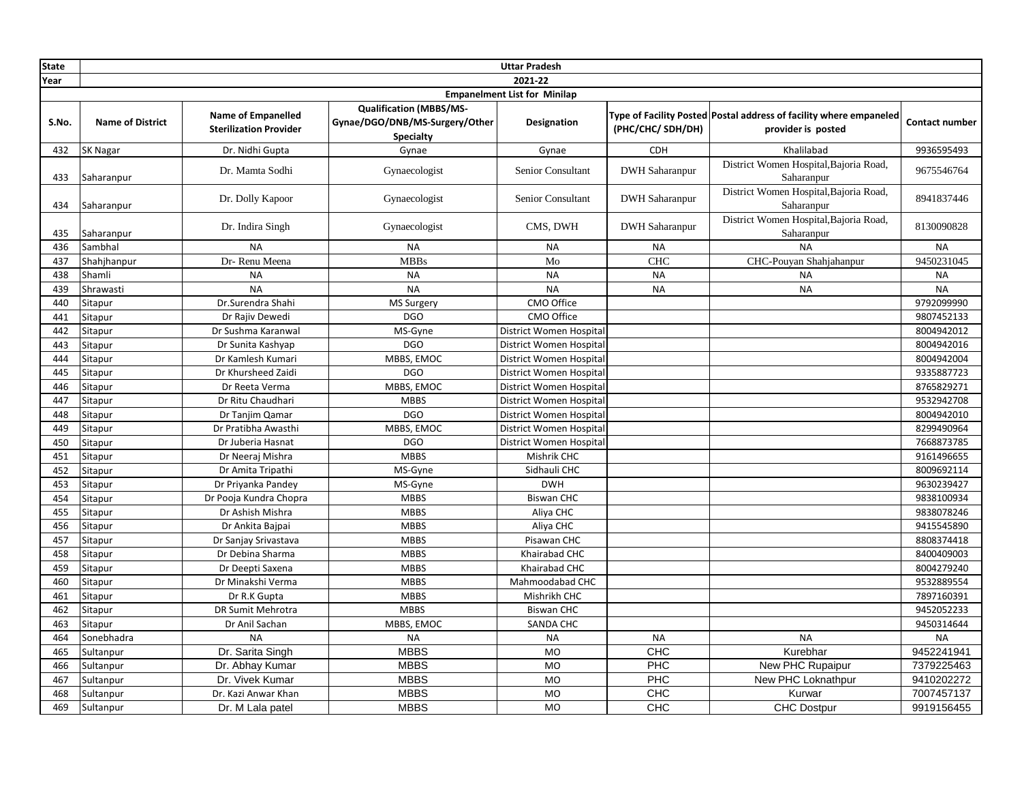| <b>State</b> | <b>Uttar Pradesh</b>    |                                                            |                                                                                      |                                     |                       |                                                                                          |                |
|--------------|-------------------------|------------------------------------------------------------|--------------------------------------------------------------------------------------|-------------------------------------|-----------------------|------------------------------------------------------------------------------------------|----------------|
| Year         |                         |                                                            |                                                                                      | 2021-22                             |                       |                                                                                          |                |
|              |                         |                                                            |                                                                                      | <b>Empanelment List for Minilap</b> |                       |                                                                                          |                |
| S.No.        | <b>Name of District</b> | <b>Name of Empanelled</b><br><b>Sterilization Provider</b> | <b>Qualification (MBBS/MS-</b><br>Gynae/DGO/DNB/MS-Surgery/Other<br><b>Specialty</b> | Designation                         | (PHC/CHC/ SDH/DH)     | Type of Facility Posted Postal address of facility where empaneled<br>provider is posted | Contact number |
| 432          | SK Nagar                | Dr. Nidhi Gupta                                            | Gynae                                                                                | Gynae                               | CDH                   | Khalilabad                                                                               | 9936595493     |
| 433          | Saharanpur              | Dr. Mamta Sodhi                                            | Gynaecologist                                                                        | Senior Consultant                   | <b>DWH</b> Saharanpur | District Women Hospital, Bajoria Road,<br>Saharanpur                                     | 9675546764     |
| 434          | Saharanpur              | Dr. Dolly Kapoor                                           | Gynaecologist                                                                        | Senior Consultant                   | <b>DWH Saharanpur</b> | District Women Hospital, Bajoria Road,<br>Saharanpur                                     | 8941837446     |
| 435          | Saharanpur              | Dr. Indira Singh                                           | Gynaecologist                                                                        | CMS, DWH                            | <b>DWH Saharanpur</b> | District Women Hospital, Bajoria Road,<br>Saharanpur                                     | 8130090828     |
| 436          | Sambhal                 | <b>NA</b>                                                  | <b>NA</b>                                                                            | <b>NA</b>                           | <b>NA</b>             | <b>NA</b>                                                                                | <b>NA</b>      |
| 437          | Shahjhanpur             | Dr-Renu Meena                                              | <b>MBBs</b>                                                                          | Mo                                  | <b>CHC</b>            | CHC-Pouyan Shahjahanpur                                                                  | 9450231045     |
| 438          | Shamli                  | <b>NA</b>                                                  | <b>NA</b>                                                                            | <b>NA</b>                           | <b>NA</b>             | <b>NA</b>                                                                                | <b>NA</b>      |
| 439          | Shrawasti               | <b>NA</b>                                                  | <b>NA</b>                                                                            | <b>NA</b>                           | <b>NA</b>             | <b>NA</b>                                                                                | <b>NA</b>      |
| 440          | Sitapur                 | Dr.Surendra Shahi                                          | MS Surgery                                                                           | CMO Office                          |                       |                                                                                          | 9792099990     |
| 441          | Sitapur                 | Dr Rajiv Dewedi                                            | <b>DGO</b>                                                                           | CMO Office                          |                       |                                                                                          | 9807452133     |
| 442          | Sitapur                 | Dr Sushma Karanwal                                         | MS-Gyne                                                                              | District Women Hospital             |                       |                                                                                          | 8004942012     |
| 443          | Sitapur                 | Dr Sunita Kashyap                                          | <b>DGO</b>                                                                           | District Women Hospital             |                       |                                                                                          | 8004942016     |
| 444          | Sitapur                 | Dr Kamlesh Kumari                                          | MBBS, EMOC                                                                           | District Women Hospital             |                       |                                                                                          | 8004942004     |
| 445          | Sitapur                 | Dr Khursheed Zaidi                                         | <b>DGO</b>                                                                           | District Women Hospital             |                       |                                                                                          | 9335887723     |
| 446          | Sitapur                 | Dr Reeta Verma                                             | MBBS, EMOC                                                                           | District Women Hospital             |                       |                                                                                          | 8765829271     |
| 447          | Sitapur                 | Dr Ritu Chaudhari                                          | <b>MBBS</b>                                                                          | District Women Hospital             |                       |                                                                                          | 9532942708     |
| 448          | Sitapur                 | Dr Tanjim Qamar                                            | <b>DGO</b>                                                                           | District Women Hospital             |                       |                                                                                          | 8004942010     |
| 449          | Sitapur                 | Dr Pratibha Awasthi                                        | MBBS, EMOC                                                                           | District Women Hospital             |                       |                                                                                          | 8299490964     |
| 450          | Sitapur                 | Dr Juberia Hasnat                                          | <b>DGO</b>                                                                           | District Women Hospital             |                       |                                                                                          | 7668873785     |
| 451          | Sitapur                 | Dr Neeraj Mishra                                           | <b>MBBS</b>                                                                          | Mishrik CHC                         |                       |                                                                                          | 9161496655     |
| 452          | Sitapur                 | Dr Amita Tripathi                                          | MS-Gyne                                                                              | Sidhauli CHC                        |                       |                                                                                          | 8009692114     |
| 453          | Sitapur                 | Dr Priyanka Pandey                                         | MS-Gyne                                                                              | <b>DWH</b>                          |                       |                                                                                          | 9630239427     |
| 454          | Sitapur                 | Dr Pooja Kundra Chopra                                     | <b>MBBS</b>                                                                          | <b>Biswan CHC</b>                   |                       |                                                                                          | 9838100934     |
| 455          | Sitapur                 | Dr Ashish Mishra                                           | <b>MBBS</b>                                                                          | Aliya CHC                           |                       |                                                                                          | 9838078246     |
| 456          | Sitapur                 | Dr Ankita Bajpai                                           | <b>MBBS</b>                                                                          | Aliya CHC                           |                       |                                                                                          | 9415545890     |
| 457          | Sitapur                 | Dr Sanjay Srivastava                                       | <b>MBBS</b>                                                                          | Pisawan CHC                         |                       |                                                                                          | 8808374418     |
| 458          | Sitapur                 | Dr Debina Sharma                                           | <b>MBBS</b>                                                                          | Khairabad CHC                       |                       |                                                                                          | 8400409003     |
| 459          | Sitapur                 | Dr Deepti Saxena                                           | <b>MBBS</b>                                                                          | Khairabad CHC                       |                       |                                                                                          | 8004279240     |
| 460          | Sitapur                 | Dr Minakshi Verma                                          | <b>MBBS</b>                                                                          | Mahmoodabad CHC                     |                       |                                                                                          | 9532889554     |
| 461          | Sitapur                 | Dr R.K Gupta                                               | <b>MBBS</b>                                                                          | Mishrikh CHC                        |                       |                                                                                          | 7897160391     |
| 462          | Sitapur                 | DR Sumit Mehrotra                                          | <b>MBBS</b>                                                                          | <b>Biswan CHC</b>                   |                       |                                                                                          | 9452052233     |
| 463          | Sitapur                 | Dr Anil Sachan                                             | MBBS, EMOC                                                                           | SANDA CHC                           |                       |                                                                                          | 9450314644     |
| 464          | Sonebhadra              | <b>NA</b>                                                  | <b>NA</b>                                                                            | <b>NA</b>                           | <b>NA</b>             | <b>NA</b>                                                                                | <b>NA</b>      |
| 465          | Sultanpur               | Dr. Sarita Singh                                           | <b>MBBS</b>                                                                          | <b>MO</b>                           | CHC                   | Kurebhar                                                                                 | 9452241941     |
| 466          | Sultanpur               | Dr. Abhay Kumar                                            | <b>MBBS</b>                                                                          | <b>MO</b>                           | PHC                   | New PHC Rupaipur                                                                         | 7379225463     |
| 467          | Sultanpur               | Dr. Vivek Kumar                                            | <b>MBBS</b>                                                                          | <b>MO</b>                           | PHC                   | New PHC Loknathpur                                                                       | 9410202272     |
| 468          | Sultanpur               | Dr. Kazi Anwar Khan                                        | <b>MBBS</b>                                                                          | <b>MO</b>                           | CHC                   | Kurwar                                                                                   | 7007457137     |
| 469          | Sultanpur               | Dr. M Lala patel                                           | <b>MBBS</b>                                                                          | <b>MO</b>                           | CHC                   | <b>CHC Dostpur</b>                                                                       | 9919156455     |